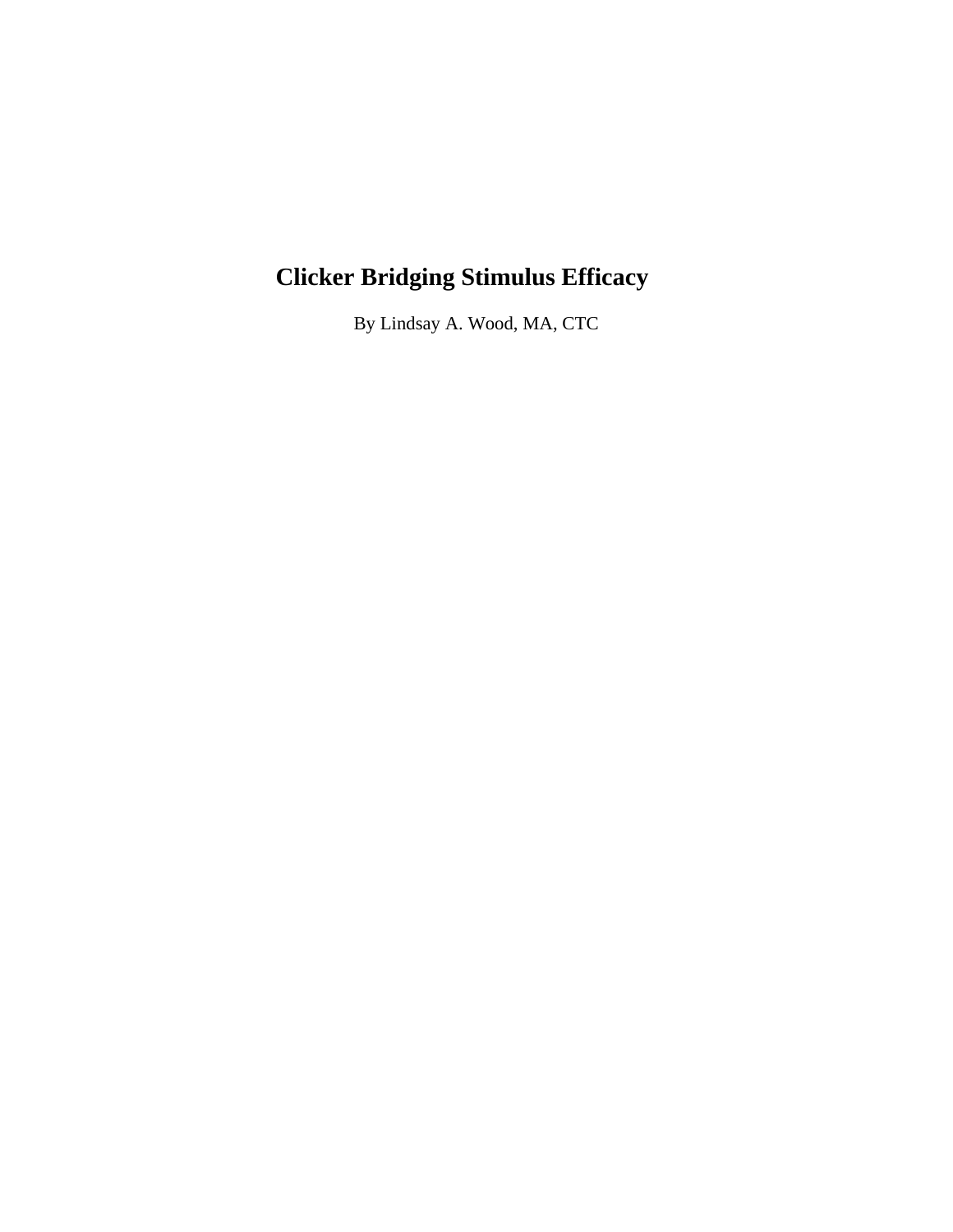# **Clicker Bridging Stimulus Efficacy**

By Lindsay A. Wood, MA, CTC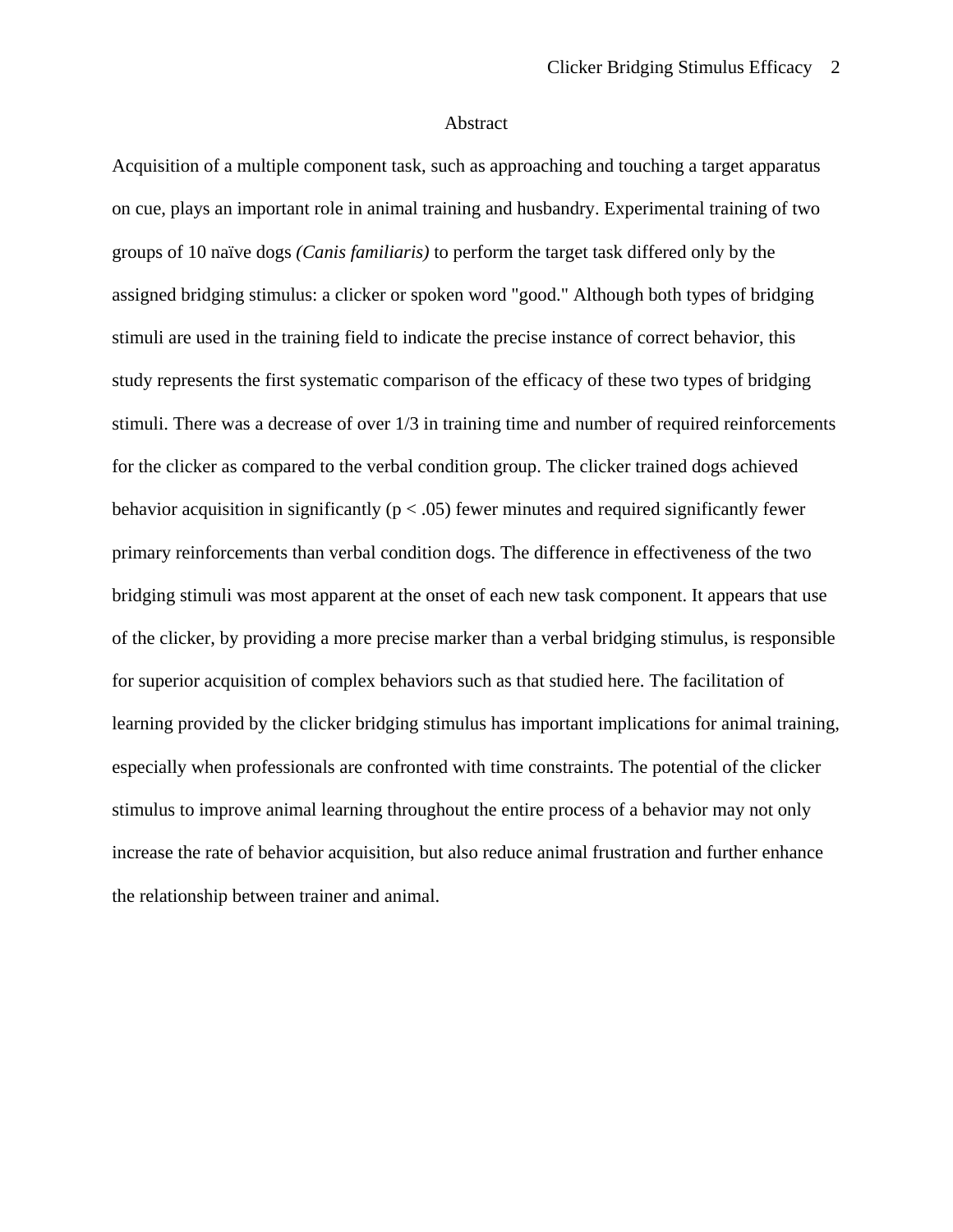## Abstract

Acquisition of a multiple component task, such as approaching and touching a target apparatus on cue, plays an important role in animal training and husbandry. Experimental training of two groups of 10 naïve dogs *(Canis familiaris)* to perform the target task differed only by the assigned bridging stimulus: a clicker or spoken word "good." Although both types of bridging stimuli are used in the training field to indicate the precise instance of correct behavior, this study represents the first systematic comparison of the efficacy of these two types of bridging stimuli. There was a decrease of over 1/3 in training time and number of required reinforcements for the clicker as compared to the verbal condition group. The clicker trained dogs achieved behavior acquisition in significantly ( $p < .05$ ) fewer minutes and required significantly fewer primary reinforcements than verbal condition dogs. The difference in effectiveness of the two bridging stimuli was most apparent at the onset of each new task component. It appears that use of the clicker, by providing a more precise marker than a verbal bridging stimulus, is responsible for superior acquisition of complex behaviors such as that studied here. The facilitation of learning provided by the clicker bridging stimulus has important implications for animal training, especially when professionals are confronted with time constraints. The potential of the clicker stimulus to improve animal learning throughout the entire process of a behavior may not only increase the rate of behavior acquisition, but also reduce animal frustration and further enhance the relationship between trainer and animal.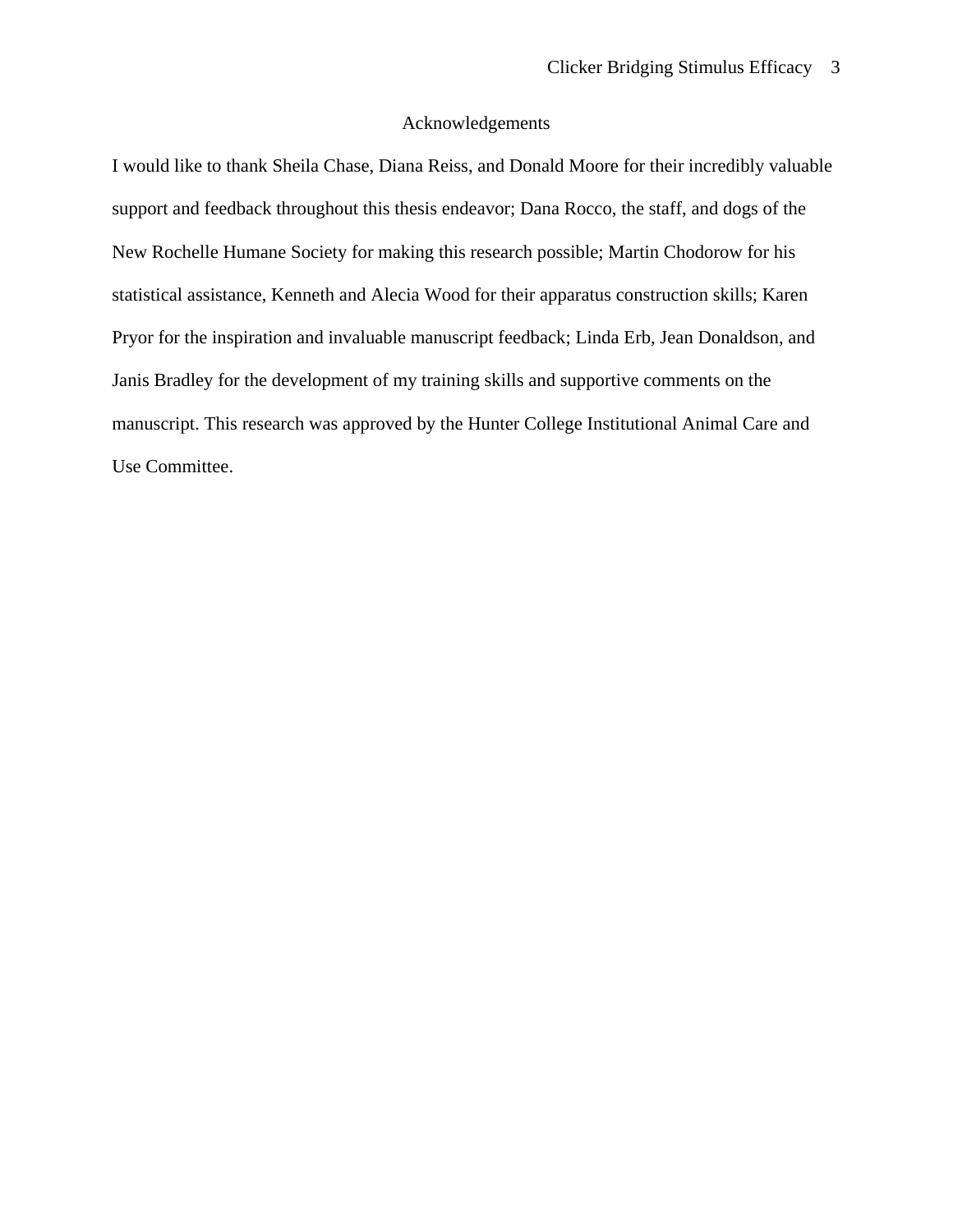## Acknowledgements

I would like to thank Sheila Chase, Diana Reiss, and Donald Moore for their incredibly valuable support and feedback throughout this thesis endeavor; Dana Rocco, the staff, and dogs of the New Rochelle Humane Society for making this research possible; Martin Chodorow for his statistical assistance, Kenneth and Alecia Wood for their apparatus construction skills; Karen Pryor for the inspiration and invaluable manuscript feedback; Linda Erb, Jean Donaldson, and Janis Bradley for the development of my training skills and supportive comments on the manuscript. This research was approved by the Hunter College Institutional Animal Care and Use Committee.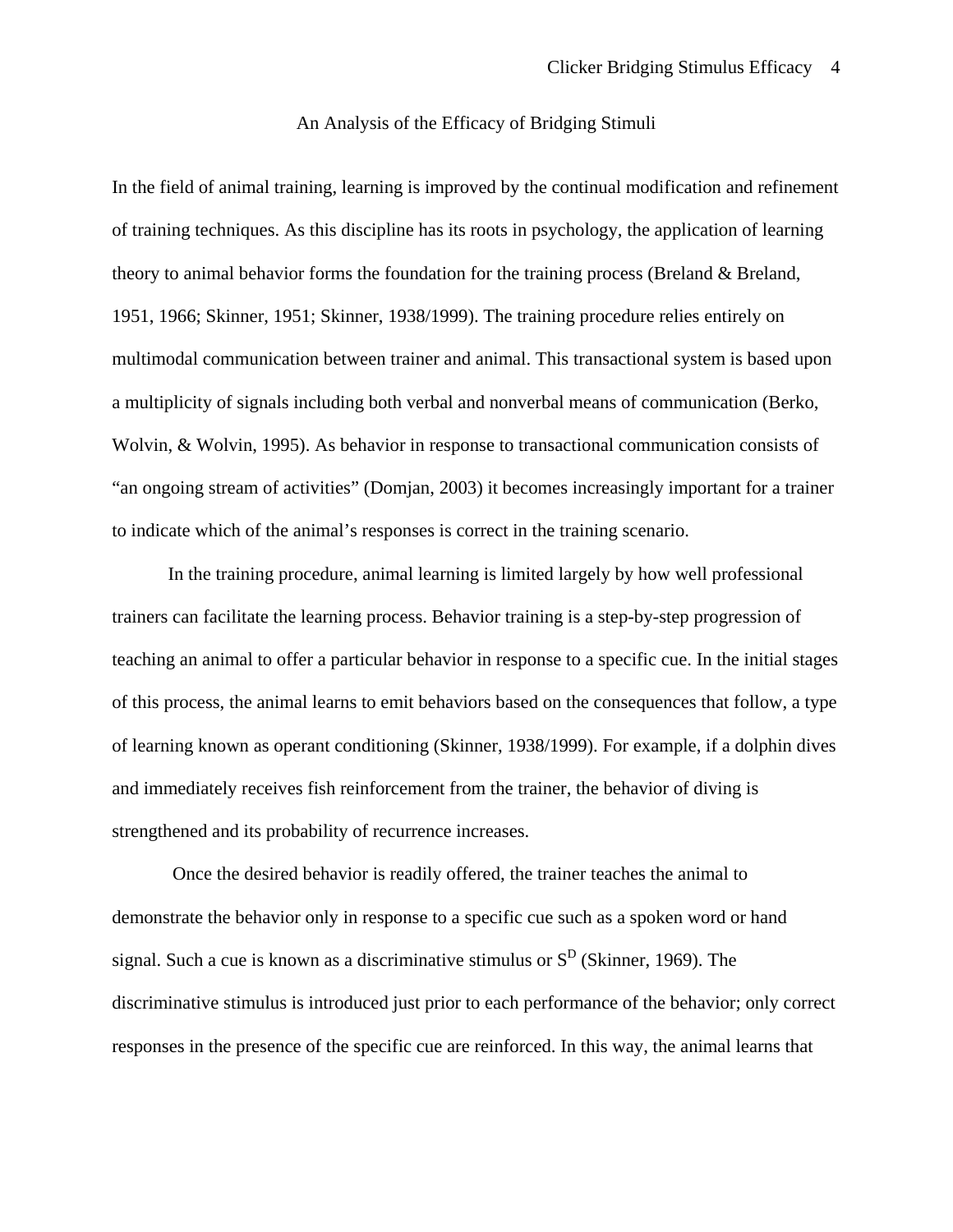## An Analysis of the Efficacy of Bridging Stimuli

In the field of animal training, learning is improved by the continual modification and refinement of training techniques. As this discipline has its roots in psychology, the application of learning theory to animal behavior forms the foundation for the training process (Breland & Breland, 1951, 1966; Skinner, 1951; Skinner, 1938/1999). The training procedure relies entirely on multimodal communication between trainer and animal. This transactional system is based upon a multiplicity of signals including both verbal and nonverbal means of communication (Berko, Wolvin, & Wolvin, 1995). As behavior in response to transactional communication consists of "an ongoing stream of activities" (Domjan, 2003) it becomes increasingly important for a trainer to indicate which of the animal's responses is correct in the training scenario.

 In the training procedure, animal learning is limited largely by how well professional trainers can facilitate the learning process. Behavior training is a step-by-step progression of teaching an animal to offer a particular behavior in response to a specific cue. In the initial stages of this process, the animal learns to emit behaviors based on the consequences that follow, a type of learning known as operant conditioning (Skinner, 1938/1999). For example, if a dolphin dives and immediately receives fish reinforcement from the trainer, the behavior of diving is strengthened and its probability of recurrence increases.

 Once the desired behavior is readily offered, the trainer teaches the animal to demonstrate the behavior only in response to a specific cue such as a spoken word or hand signal. Such a cue is known as a discriminative stimulus or  $S<sup>D</sup>$  (Skinner, 1969). The discriminative stimulus is introduced just prior to each performance of the behavior; only correct responses in the presence of the specific cue are reinforced. In this way, the animal learns that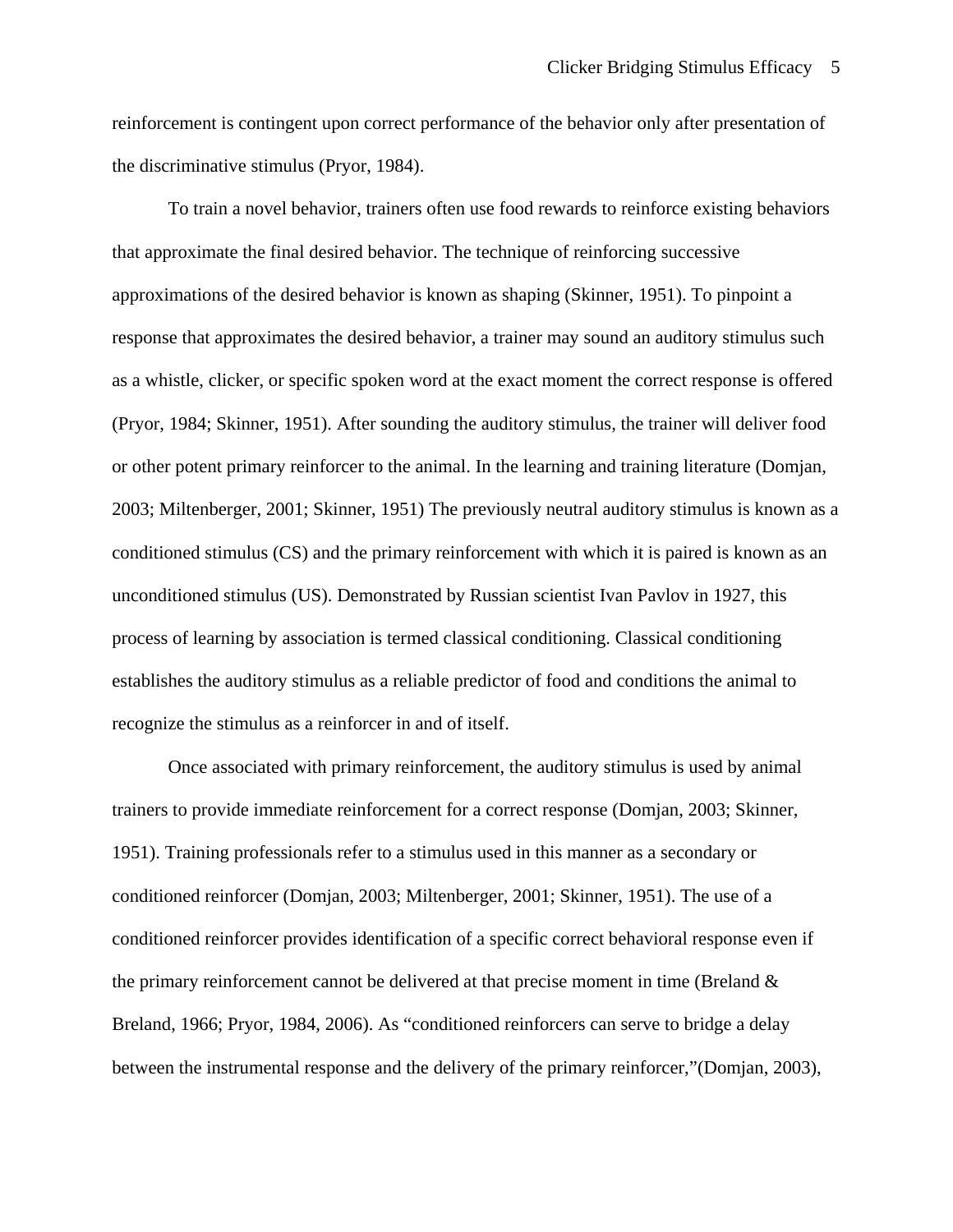reinforcement is contingent upon correct performance of the behavior only after presentation of the discriminative stimulus (Pryor, 1984).

 To train a novel behavior, trainers often use food rewards to reinforce existing behaviors that approximate the final desired behavior. The technique of reinforcing successive approximations of the desired behavior is known as shaping (Skinner, 1951). To pinpoint a response that approximates the desired behavior, a trainer may sound an auditory stimulus such as a whistle, clicker, or specific spoken word at the exact moment the correct response is offered (Pryor, 1984; Skinner, 1951). After sounding the auditory stimulus, the trainer will deliver food or other potent primary reinforcer to the animal. In the learning and training literature (Domjan, 2003; Miltenberger, 2001; Skinner, 1951) The previously neutral auditory stimulus is known as a conditioned stimulus (CS) and the primary reinforcement with which it is paired is known as an unconditioned stimulus (US). Demonstrated by Russian scientist Ivan Pavlov in 1927, this process of learning by association is termed classical conditioning. Classical conditioning establishes the auditory stimulus as a reliable predictor of food and conditions the animal to recognize the stimulus as a reinforcer in and of itself.

 Once associated with primary reinforcement, the auditory stimulus is used by animal trainers to provide immediate reinforcement for a correct response (Domjan, 2003; Skinner, 1951). Training professionals refer to a stimulus used in this manner as a secondary or conditioned reinforcer (Domjan, 2003; Miltenberger, 2001; Skinner, 1951). The use of a conditioned reinforcer provides identification of a specific correct behavioral response even if the primary reinforcement cannot be delivered at that precise moment in time (Breland  $\&$ Breland, 1966; Pryor, 1984, 2006). As "conditioned reinforcers can serve to bridge a delay between the instrumental response and the delivery of the primary reinforcer,"(Domjan, 2003),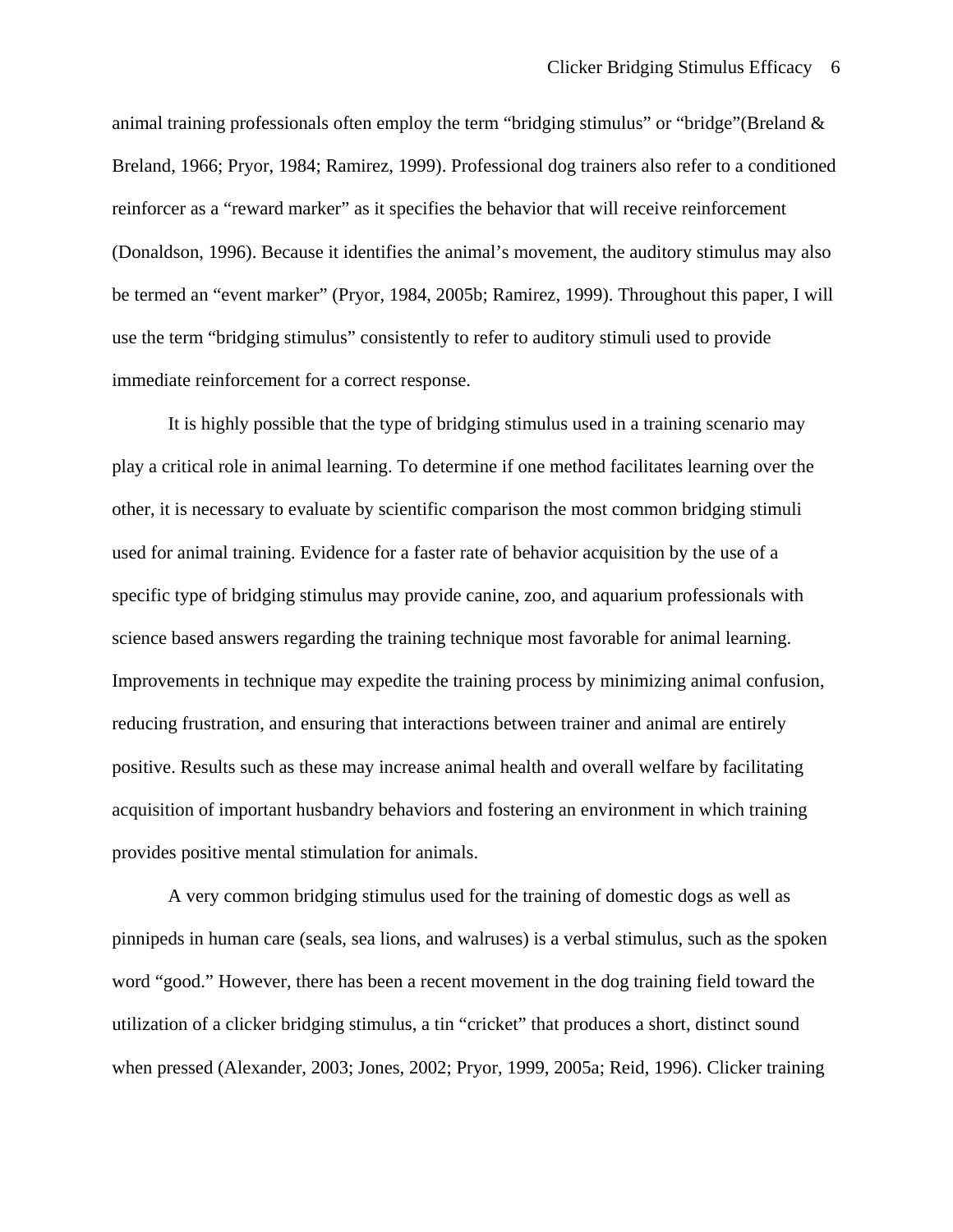animal training professionals often employ the term "bridging stimulus" or "bridge"(Breland  $\&$ Breland, 1966; Pryor, 1984; Ramirez, 1999). Professional dog trainers also refer to a conditioned reinforcer as a "reward marker" as it specifies the behavior that will receive reinforcement (Donaldson, 1996). Because it identifies the animal's movement, the auditory stimulus may also be termed an "event marker" (Pryor, 1984, 2005b; Ramirez, 1999). Throughout this paper, I will use the term "bridging stimulus" consistently to refer to auditory stimuli used to provide immediate reinforcement for a correct response.

 It is highly possible that the type of bridging stimulus used in a training scenario may play a critical role in animal learning. To determine if one method facilitates learning over the other, it is necessary to evaluate by scientific comparison the most common bridging stimuli used for animal training. Evidence for a faster rate of behavior acquisition by the use of a specific type of bridging stimulus may provide canine, zoo, and aquarium professionals with science based answers regarding the training technique most favorable for animal learning. Improvements in technique may expedite the training process by minimizing animal confusion, reducing frustration, and ensuring that interactions between trainer and animal are entirely positive. Results such as these may increase animal health and overall welfare by facilitating acquisition of important husbandry behaviors and fostering an environment in which training provides positive mental stimulation for animals.

 A very common bridging stimulus used for the training of domestic dogs as well as pinnipeds in human care (seals, sea lions, and walruses) is a verbal stimulus, such as the spoken word "good." However, there has been a recent movement in the dog training field toward the utilization of a clicker bridging stimulus, a tin "cricket" that produces a short, distinct sound when pressed (Alexander, 2003; Jones, 2002; Pryor, 1999, 2005a; Reid, 1996). Clicker training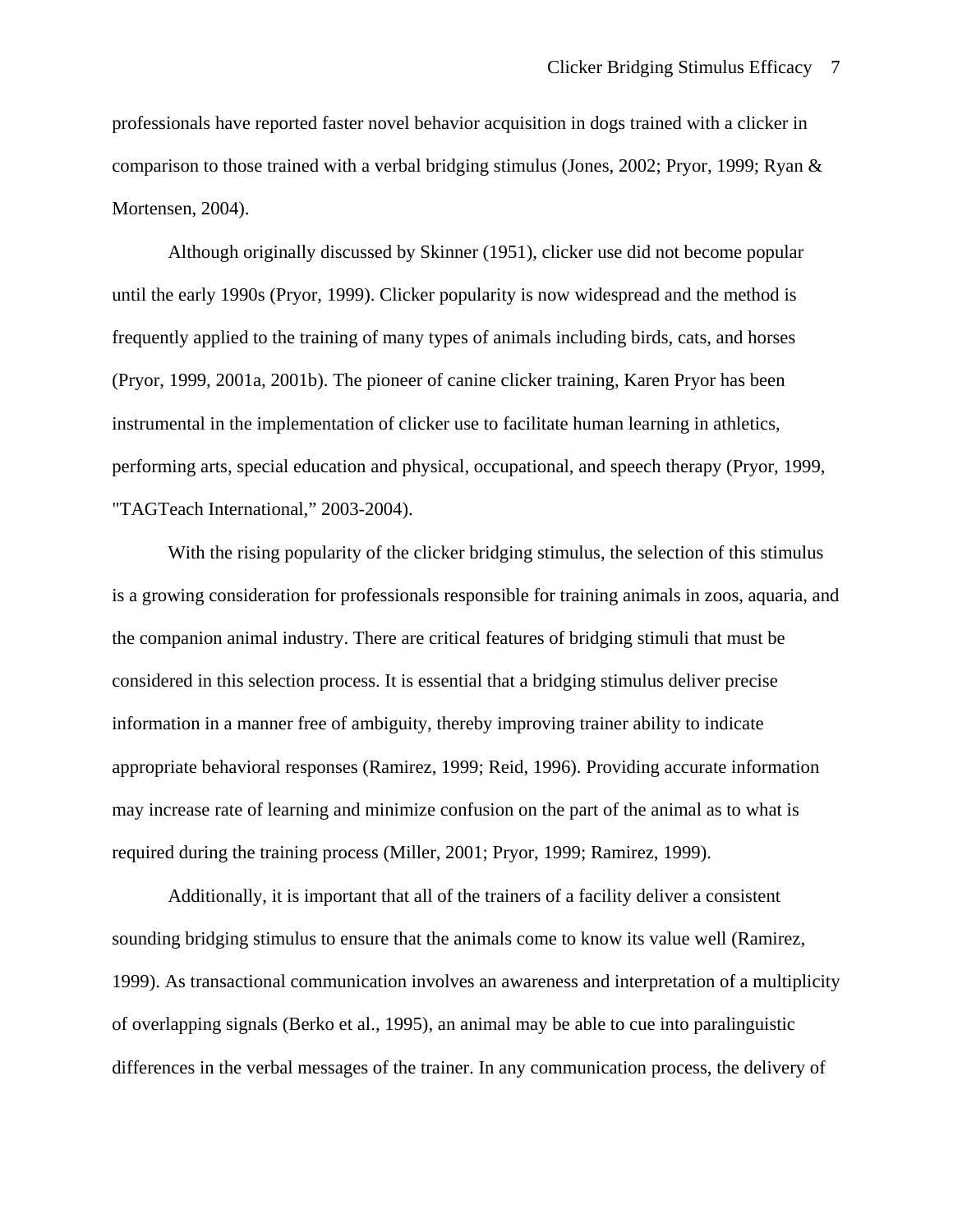professionals have reported faster novel behavior acquisition in dogs trained with a clicker in comparison to those trained with a verbal bridging stimulus (Jones, 2002; Pryor, 1999; Ryan & Mortensen, 2004).

 Although originally discussed by Skinner (1951), clicker use did not become popular until the early 1990s (Pryor, 1999). Clicker popularity is now widespread and the method is frequently applied to the training of many types of animals including birds, cats, and horses (Pryor, 1999, 2001a, 2001b). The pioneer of canine clicker training, Karen Pryor has been instrumental in the implementation of clicker use to facilitate human learning in athletics, performing arts, special education and physical, occupational, and speech therapy (Pryor, 1999, "TAGTeach International," 2003-2004).

With the rising popularity of the clicker bridging stimulus, the selection of this stimulus is a growing consideration for professionals responsible for training animals in zoos, aquaria, and the companion animal industry. There are critical features of bridging stimuli that must be considered in this selection process. It is essential that a bridging stimulus deliver precise information in a manner free of ambiguity, thereby improving trainer ability to indicate appropriate behavioral responses (Ramirez, 1999; Reid, 1996). Providing accurate information may increase rate of learning and minimize confusion on the part of the animal as to what is required during the training process (Miller, 2001; Pryor, 1999; Ramirez, 1999).

 Additionally, it is important that all of the trainers of a facility deliver a consistent sounding bridging stimulus to ensure that the animals come to know its value well (Ramirez, 1999). As transactional communication involves an awareness and interpretation of a multiplicity of overlapping signals (Berko et al., 1995), an animal may be able to cue into paralinguistic differences in the verbal messages of the trainer. In any communication process, the delivery of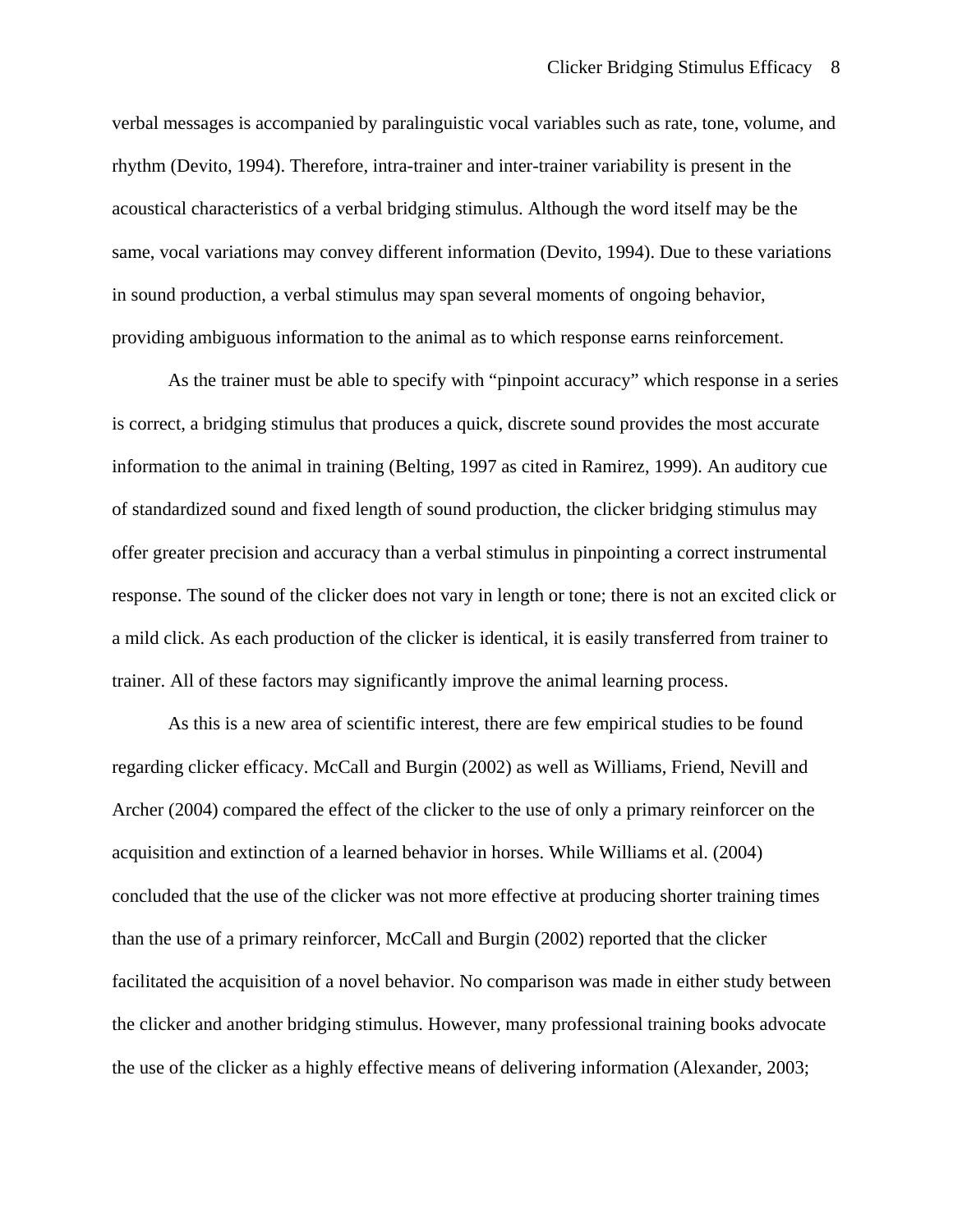verbal messages is accompanied by paralinguistic vocal variables such as rate, tone, volume, and rhythm (Devito, 1994). Therefore, intra-trainer and inter-trainer variability is present in the acoustical characteristics of a verbal bridging stimulus. Although the word itself may be the same, vocal variations may convey different information (Devito, 1994). Due to these variations in sound production, a verbal stimulus may span several moments of ongoing behavior, providing ambiguous information to the animal as to which response earns reinforcement.

 As the trainer must be able to specify with "pinpoint accuracy" which response in a series is correct, a bridging stimulus that produces a quick, discrete sound provides the most accurate information to the animal in training (Belting, 1997 as cited in Ramirez, 1999). An auditory cue of standardized sound and fixed length of sound production, the clicker bridging stimulus may offer greater precision and accuracy than a verbal stimulus in pinpointing a correct instrumental response. The sound of the clicker does not vary in length or tone; there is not an excited click or a mild click. As each production of the clicker is identical, it is easily transferred from trainer to trainer. All of these factors may significantly improve the animal learning process.

 As this is a new area of scientific interest, there are few empirical studies to be found regarding clicker efficacy. McCall and Burgin (2002) as well as Williams, Friend, Nevill and Archer (2004) compared the effect of the clicker to the use of only a primary reinforcer on the acquisition and extinction of a learned behavior in horses. While Williams et al. (2004) concluded that the use of the clicker was not more effective at producing shorter training times than the use of a primary reinforcer, McCall and Burgin (2002) reported that the clicker facilitated the acquisition of a novel behavior. No comparison was made in either study between the clicker and another bridging stimulus. However, many professional training books advocate the use of the clicker as a highly effective means of delivering information (Alexander, 2003;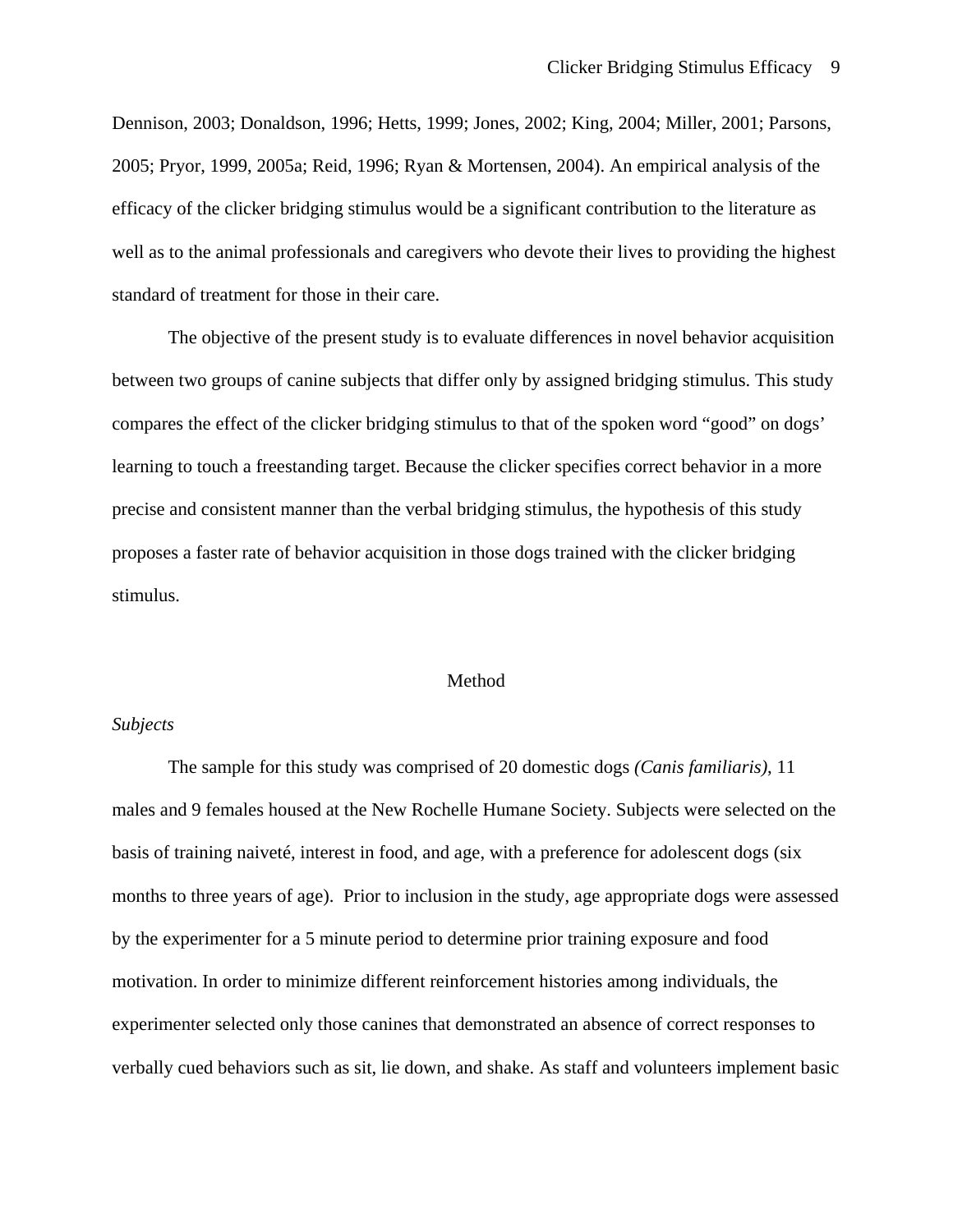Dennison, 2003; Donaldson, 1996; Hetts, 1999; Jones, 2002; King, 2004; Miller, 2001; Parsons, 2005; Pryor, 1999, 2005a; Reid, 1996; Ryan & Mortensen, 2004). An empirical analysis of the efficacy of the clicker bridging stimulus would be a significant contribution to the literature as well as to the animal professionals and caregivers who devote their lives to providing the highest standard of treatment for those in their care.

 The objective of the present study is to evaluate differences in novel behavior acquisition between two groups of canine subjects that differ only by assigned bridging stimulus. This study compares the effect of the clicker bridging stimulus to that of the spoken word "good" on dogs' learning to touch a freestanding target. Because the clicker specifies correct behavior in a more precise and consistent manner than the verbal bridging stimulus, the hypothesis of this study proposes a faster rate of behavior acquisition in those dogs trained with the clicker bridging stimulus.

## Method

## *Subjects*

 The sample for this study was comprised of 20 domestic dogs *(Canis familiaris)*, 11 males and 9 females housed at the New Rochelle Humane Society. Subjects were selected on the basis of training naiveté, interest in food, and age, with a preference for adolescent dogs (six months to three years of age). Prior to inclusion in the study, age appropriate dogs were assessed by the experimenter for a 5 minute period to determine prior training exposure and food motivation. In order to minimize different reinforcement histories among individuals, the experimenter selected only those canines that demonstrated an absence of correct responses to verbally cued behaviors such as sit, lie down, and shake. As staff and volunteers implement basic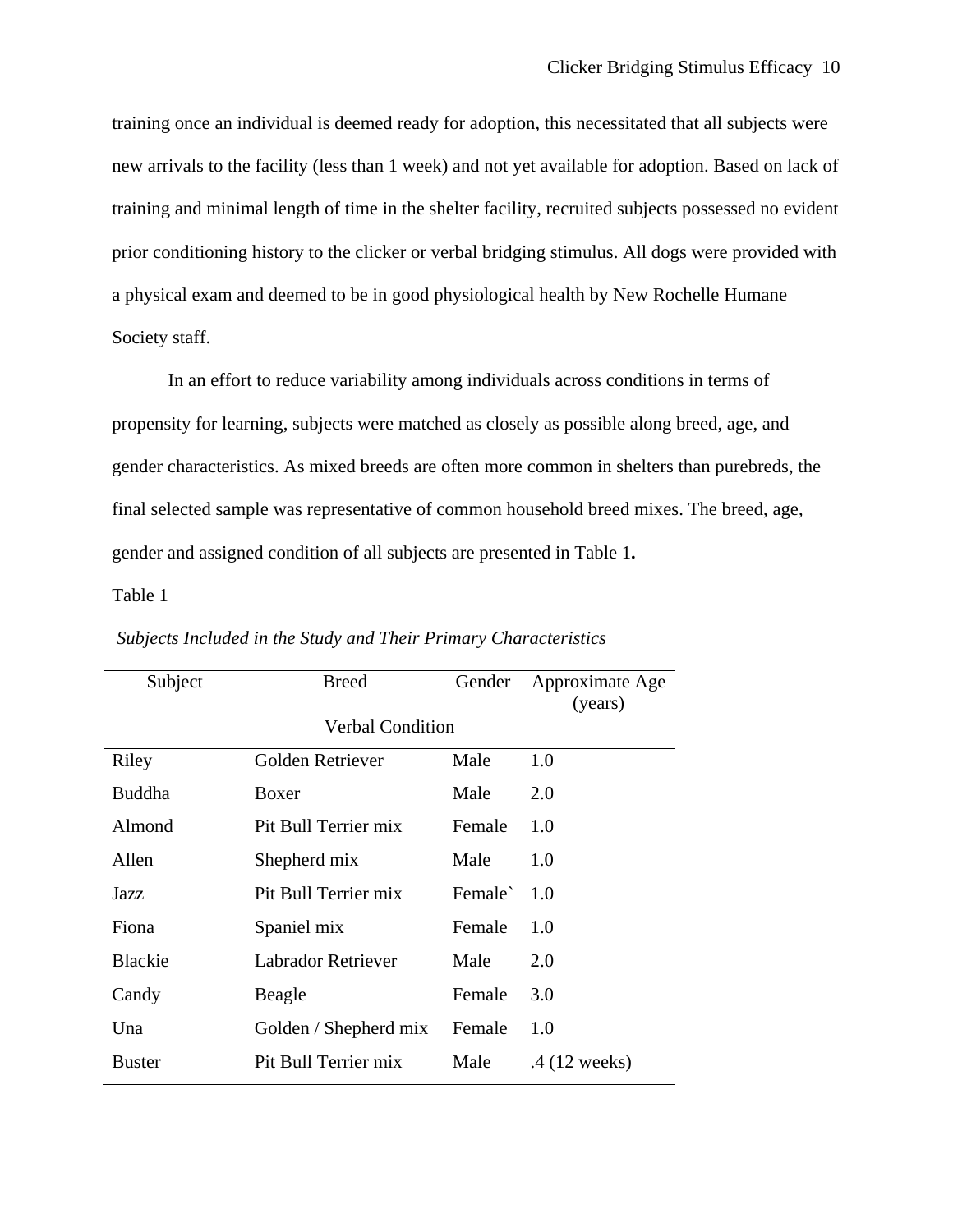training once an individual is deemed ready for adoption, this necessitated that all subjects were new arrivals to the facility (less than 1 week) and not yet available for adoption. Based on lack of training and minimal length of time in the shelter facility, recruited subjects possessed no evident prior conditioning history to the clicker or verbal bridging stimulus. All dogs were provided with a physical exam and deemed to be in good physiological health by New Rochelle Humane Society staff.

 In an effort to reduce variability among individuals across conditions in terms of propensity for learning, subjects were matched as closely as possible along breed, age, and gender characteristics. As mixed breeds are often more common in shelters than purebreds, the final selected sample was representative of common household breed mixes. The breed, age, gender and assigned condition of all subjects are presented in Table 1**.** 

Table 1

| Subject                 | <b>Breed</b>          | Gender  | Approximate Age<br>(years) |  |
|-------------------------|-----------------------|---------|----------------------------|--|
| <b>Verbal Condition</b> |                       |         |                            |  |
| Riley                   | Golden Retriever      | Male    | 1.0                        |  |
| <b>Buddha</b>           | Boxer                 | Male    | 2.0                        |  |
| Almond                  | Pit Bull Terrier mix  | Female  | 1.0                        |  |
| Allen                   | Shepherd mix          | Male    | 1.0                        |  |
| Jazz                    | Pit Bull Terrier mix  | Female` | 1.0                        |  |
| Fiona                   | Spaniel mix           | Female  | 1.0                        |  |
| <b>Blackie</b>          | Labrador Retriever    | Male    | 2.0                        |  |
| Candy                   | Beagle                | Female  | 3.0                        |  |
| Una                     | Golden / Shepherd mix | Female  | 1.0                        |  |
| <b>Buster</b>           | Pit Bull Terrier mix  | Male    | .4 (12 weeks)              |  |

 *Subjects Included in the Study and Their Primary Characteristics*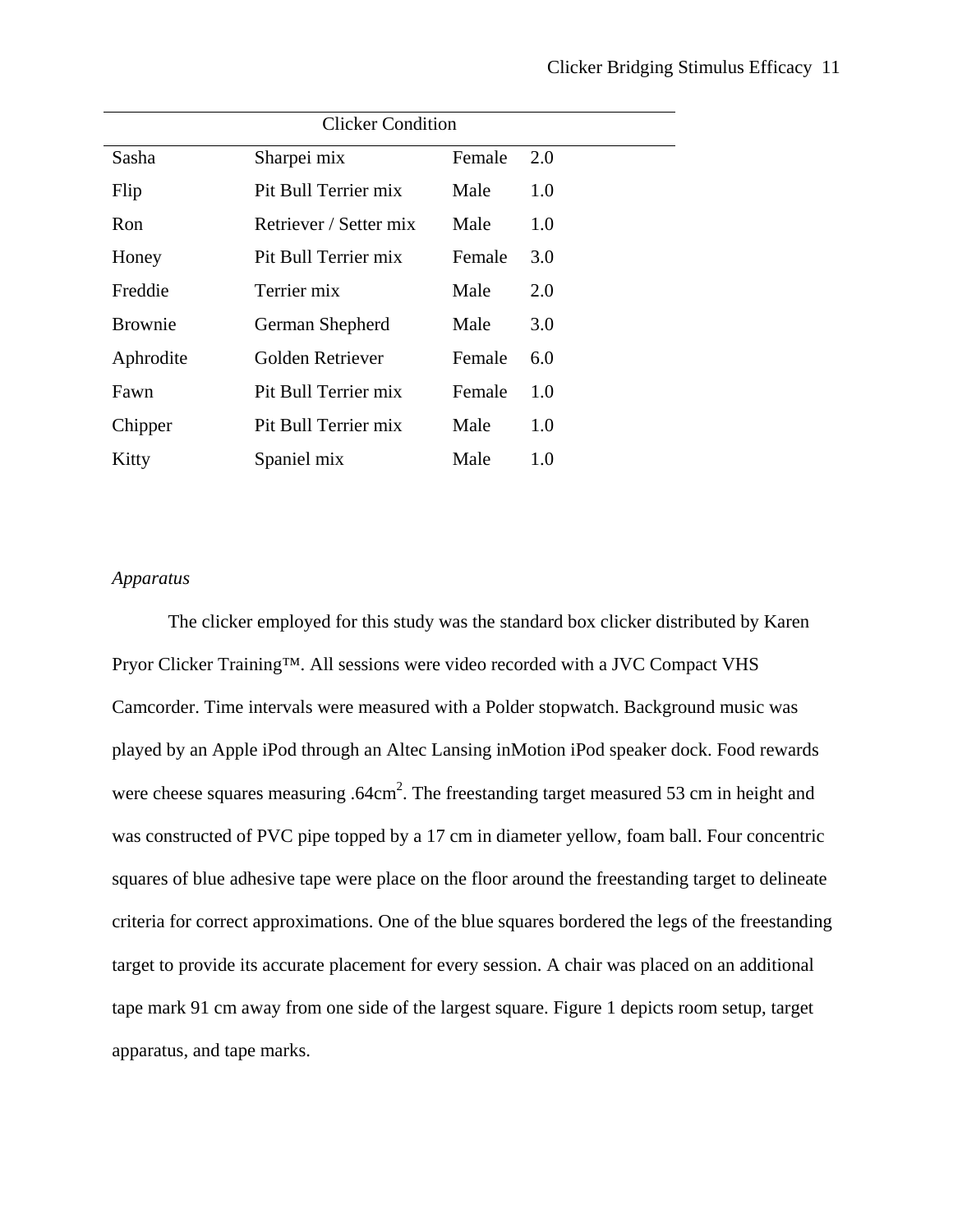| <b>Clicker Condition</b> |                        |        |     |  |
|--------------------------|------------------------|--------|-----|--|
| Sasha                    | Sharpei mix            | Female | 2.0 |  |
| Flip                     | Pit Bull Terrier mix   | Male   | 1.0 |  |
| Ron                      | Retriever / Setter mix | Male   | 1.0 |  |
| Honey                    | Pit Bull Terrier mix   | Female | 3.0 |  |
| Freddie                  | Terrier mix            | Male   | 2.0 |  |
| <b>Brownie</b>           | German Shepherd        | Male   | 3.0 |  |
| Aphrodite                | Golden Retriever       | Female | 6.0 |  |
| Fawn                     | Pit Bull Terrier mix   | Female | 1.0 |  |
| Chipper                  | Pit Bull Terrier mix   | Male   | 1.0 |  |
| Kitty                    | Spaniel mix            | Male   | 1.0 |  |

## *Apparatus*

 The clicker employed for this study was the standard box clicker distributed by Karen Pryor Clicker Training™. All sessions were video recorded with a JVC Compact VHS Camcorder. Time intervals were measured with a Polder stopwatch. Background music was played by an Apple iPod through an Altec Lansing inMotion iPod speaker dock. Food rewards were cheese squares measuring .64cm<sup>2</sup>. The freestanding target measured 53 cm in height and was constructed of PVC pipe topped by a 17 cm in diameter yellow, foam ball. Four concentric squares of blue adhesive tape were place on the floor around the freestanding target to delineate criteria for correct approximations. One of the blue squares bordered the legs of the freestanding target to provide its accurate placement for every session. A chair was placed on an additional tape mark 91 cm away from one side of the largest square. Figure 1 depicts room setup, target apparatus, and tape marks.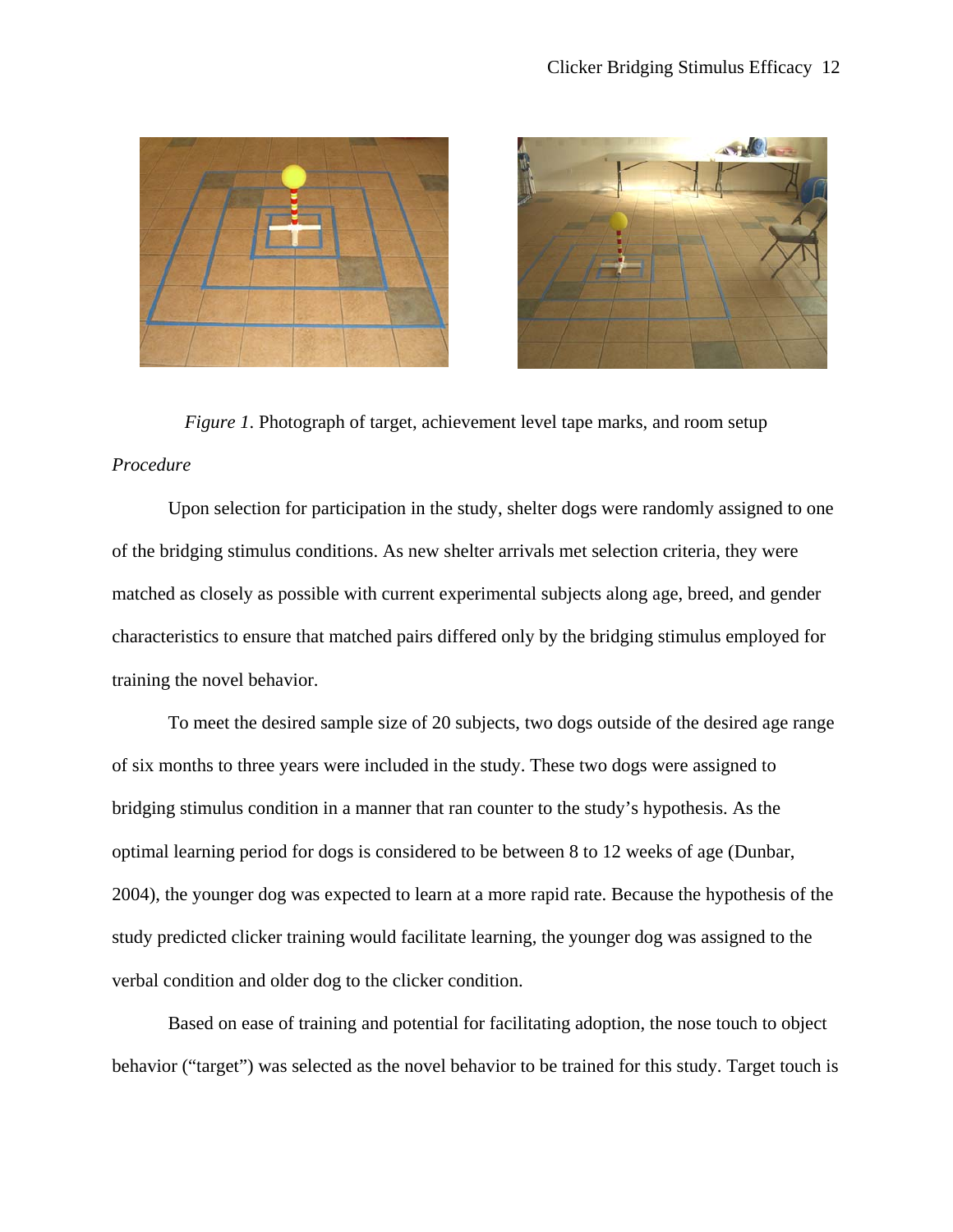



*Figure 1*. Photograph of target, achievement level tape marks, and room setup *Procedure* 

 Upon selection for participation in the study, shelter dogs were randomly assigned to one of the bridging stimulus conditions. As new shelter arrivals met selection criteria, they were matched as closely as possible with current experimental subjects along age, breed, and gender characteristics to ensure that matched pairs differed only by the bridging stimulus employed for training the novel behavior.

 To meet the desired sample size of 20 subjects, two dogs outside of the desired age range of six months to three years were included in the study. These two dogs were assigned to bridging stimulus condition in a manner that ran counter to the study's hypothesis. As the optimal learning period for dogs is considered to be between 8 to 12 weeks of age (Dunbar, 2004), the younger dog was expected to learn at a more rapid rate. Because the hypothesis of the study predicted clicker training would facilitate learning, the younger dog was assigned to the verbal condition and older dog to the clicker condition.

 Based on ease of training and potential for facilitating adoption, the nose touch to object behavior ("target") was selected as the novel behavior to be trained for this study. Target touch is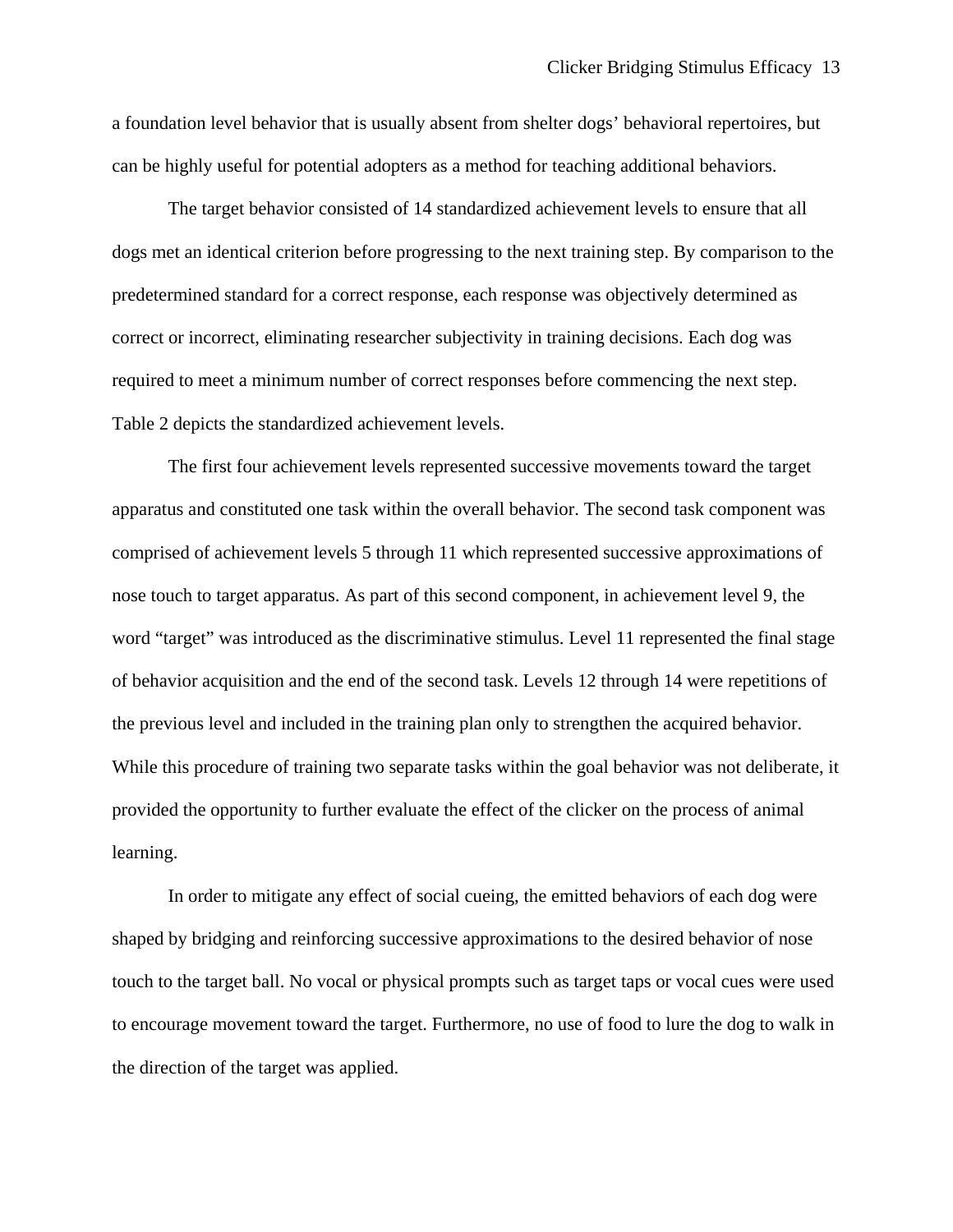a foundation level behavior that is usually absent from shelter dogs' behavioral repertoires, but can be highly useful for potential adopters as a method for teaching additional behaviors.

 The target behavior consisted of 14 standardized achievement levels to ensure that all dogs met an identical criterion before progressing to the next training step. By comparison to the predetermined standard for a correct response, each response was objectively determined as correct or incorrect, eliminating researcher subjectivity in training decisions. Each dog was required to meet a minimum number of correct responses before commencing the next step. Table 2 depicts the standardized achievement levels.

 The first four achievement levels represented successive movements toward the target apparatus and constituted one task within the overall behavior. The second task component was comprised of achievement levels 5 through 11 which represented successive approximations of nose touch to target apparatus. As part of this second component, in achievement level 9, the word "target" was introduced as the discriminative stimulus. Level 11 represented the final stage of behavior acquisition and the end of the second task. Levels 12 through 14 were repetitions of the previous level and included in the training plan only to strengthen the acquired behavior. While this procedure of training two separate tasks within the goal behavior was not deliberate, it provided the opportunity to further evaluate the effect of the clicker on the process of animal learning.

 In order to mitigate any effect of social cueing, the emitted behaviors of each dog were shaped by bridging and reinforcing successive approximations to the desired behavior of nose touch to the target ball. No vocal or physical prompts such as target taps or vocal cues were used to encourage movement toward the target. Furthermore, no use of food to lure the dog to walk in the direction of the target was applied.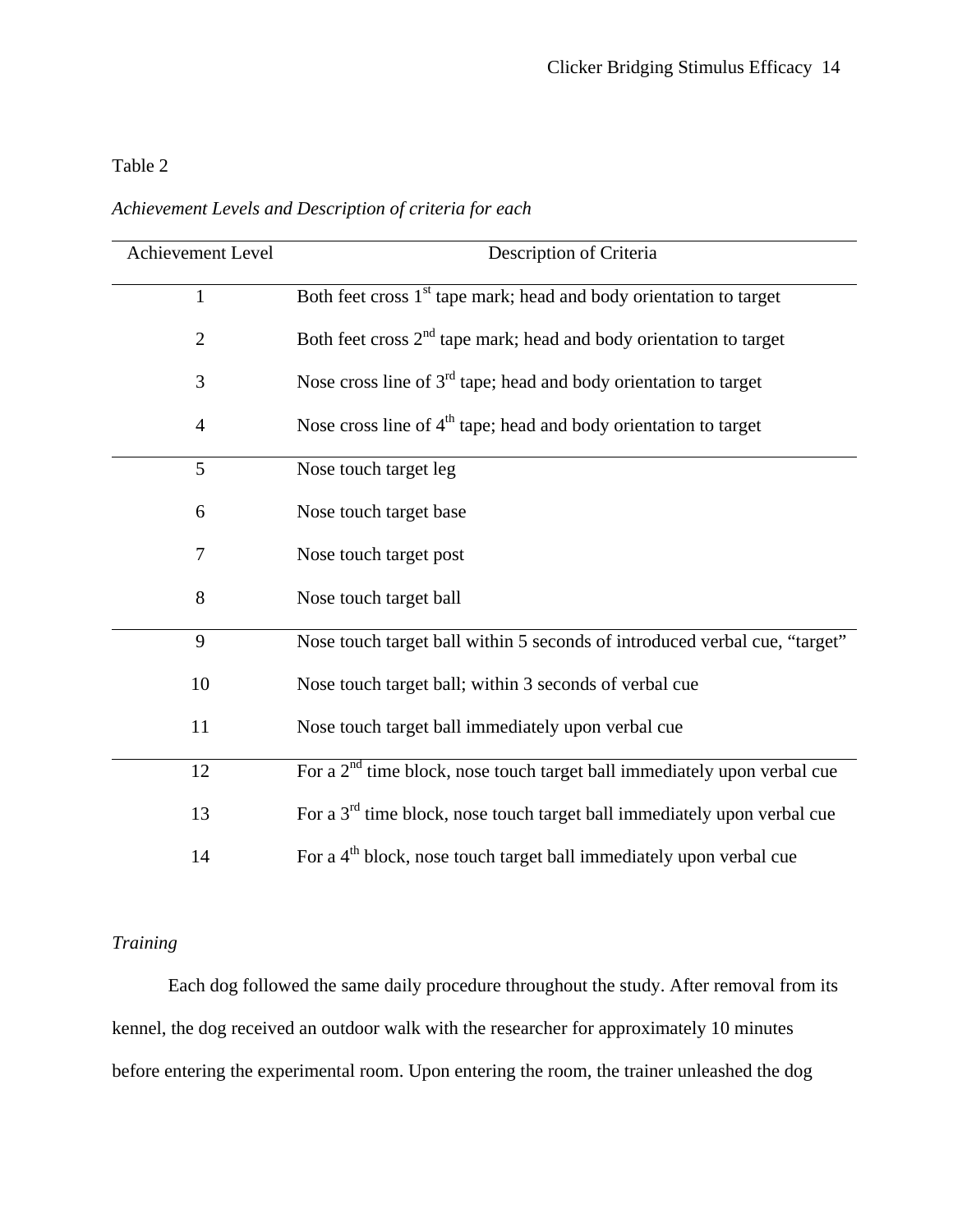## Table 2

*Achievement Levels and Description of criteria for each* 

| Achievement Level | Description of Criteria                                                         |
|-------------------|---------------------------------------------------------------------------------|
| $\mathbf{1}$      | Both feet cross 1 <sup>st</sup> tape mark; head and body orientation to target  |
| $\overline{2}$    | Both feet cross 2 <sup>nd</sup> tape mark; head and body orientation to target  |
| 3                 | Nose cross line of $3rd$ tape; head and body orientation to target              |
| $\overline{4}$    | Nose cross line of 4 <sup>th</sup> tape; head and body orientation to target    |
| 5                 | Nose touch target leg                                                           |
| 6                 | Nose touch target base                                                          |
| $\tau$            | Nose touch target post                                                          |
| 8                 | Nose touch target ball                                                          |
| 9                 | Nose touch target ball within 5 seconds of introduced verbal cue, "target"      |
| 10                | Nose touch target ball; within 3 seconds of verbal cue                          |
| 11                | Nose touch target ball immediately upon verbal cue                              |
| 12                | For a $2nd$ time block, nose touch target ball immediately upon verbal cue      |
| 13                | For a $3rd$ time block, nose touch target ball immediately upon verbal cue      |
| 14                | For a 4 <sup>th</sup> block, nose touch target ball immediately upon verbal cue |

## *Training*

Each dog followed the same daily procedure throughout the study. After removal from its kennel, the dog received an outdoor walk with the researcher for approximately 10 minutes before entering the experimental room. Upon entering the room, the trainer unleashed the dog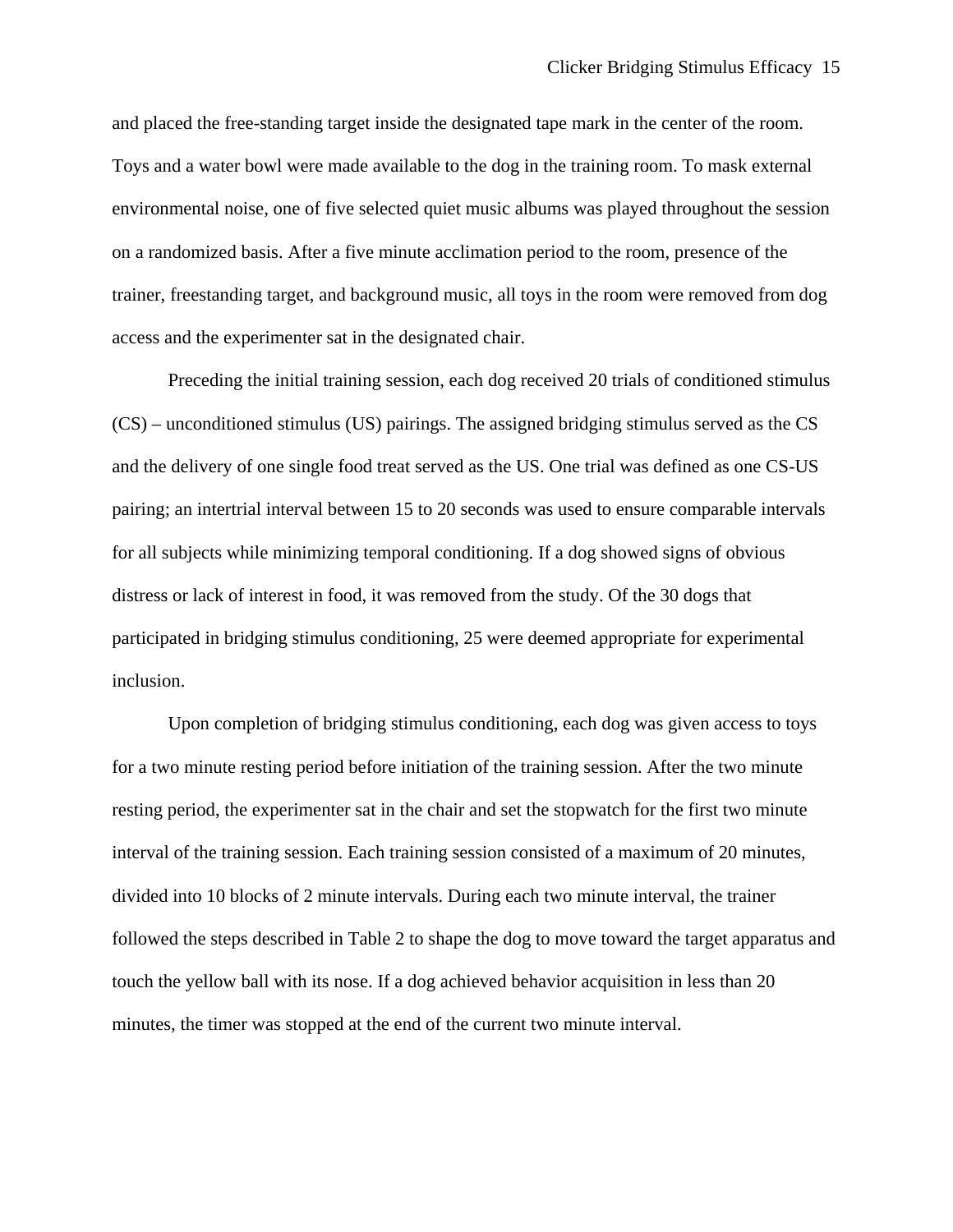and placed the free-standing target inside the designated tape mark in the center of the room. Toys and a water bowl were made available to the dog in the training room. To mask external environmental noise, one of five selected quiet music albums was played throughout the session on a randomized basis. After a five minute acclimation period to the room, presence of the trainer, freestanding target, and background music, all toys in the room were removed from dog access and the experimenter sat in the designated chair.

 Preceding the initial training session, each dog received 20 trials of conditioned stimulus (CS) – unconditioned stimulus (US) pairings. The assigned bridging stimulus served as the CS and the delivery of one single food treat served as the US. One trial was defined as one CS-US pairing; an intertrial interval between 15 to 20 seconds was used to ensure comparable intervals for all subjects while minimizing temporal conditioning. If a dog showed signs of obvious distress or lack of interest in food, it was removed from the study. Of the 30 dogs that participated in bridging stimulus conditioning, 25 were deemed appropriate for experimental inclusion.

 Upon completion of bridging stimulus conditioning, each dog was given access to toys for a two minute resting period before initiation of the training session. After the two minute resting period, the experimenter sat in the chair and set the stopwatch for the first two minute interval of the training session. Each training session consisted of a maximum of 20 minutes, divided into 10 blocks of 2 minute intervals. During each two minute interval, the trainer followed the steps described in Table 2 to shape the dog to move toward the target apparatus and touch the yellow ball with its nose. If a dog achieved behavior acquisition in less than 20 minutes, the timer was stopped at the end of the current two minute interval.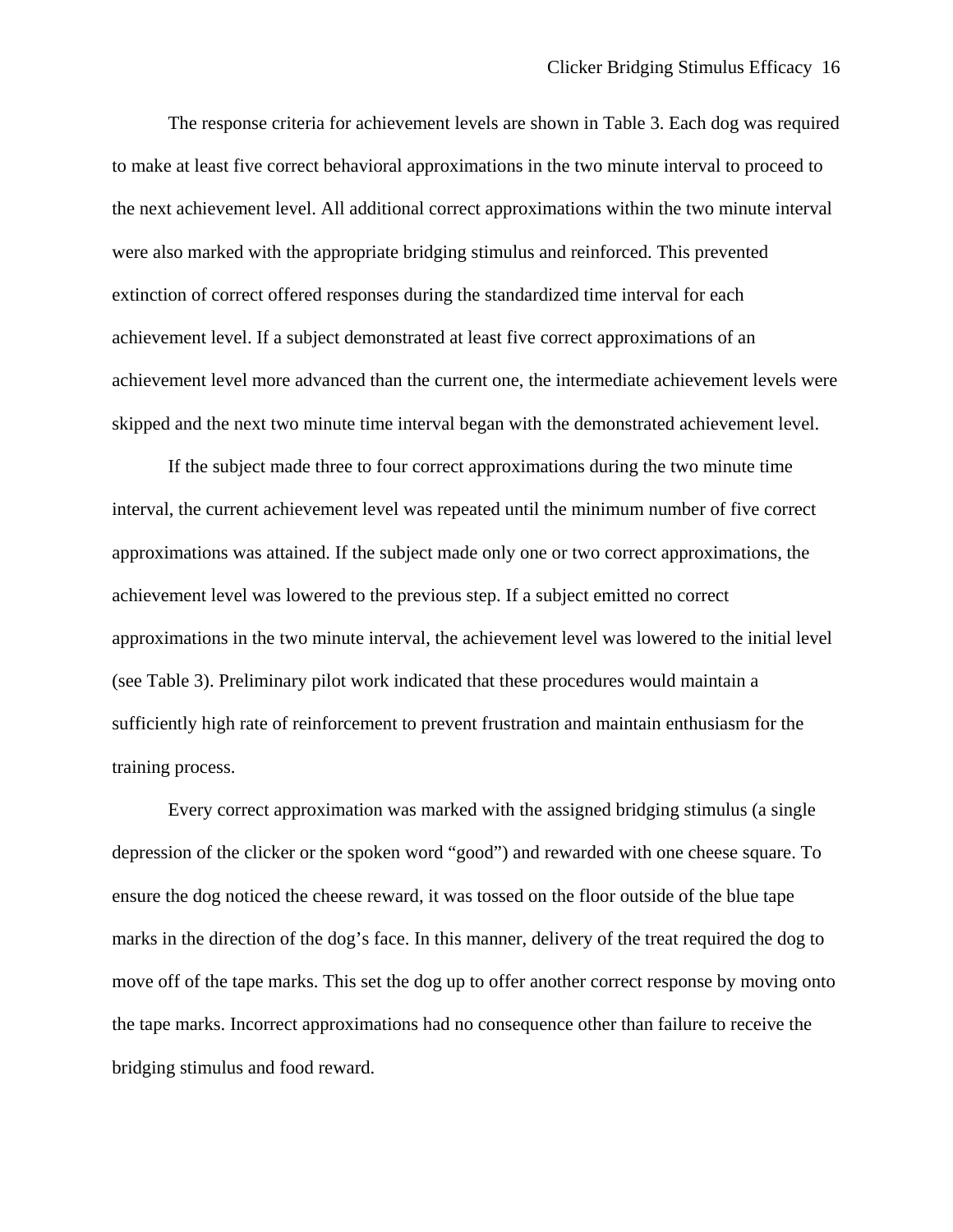The response criteria for achievement levels are shown in Table 3. Each dog was required to make at least five correct behavioral approximations in the two minute interval to proceed to the next achievement level. All additional correct approximations within the two minute interval were also marked with the appropriate bridging stimulus and reinforced. This prevented extinction of correct offered responses during the standardized time interval for each achievement level. If a subject demonstrated at least five correct approximations of an achievement level more advanced than the current one, the intermediate achievement levels were skipped and the next two minute time interval began with the demonstrated achievement level.

 If the subject made three to four correct approximations during the two minute time interval, the current achievement level was repeated until the minimum number of five correct approximations was attained. If the subject made only one or two correct approximations, the achievement level was lowered to the previous step. If a subject emitted no correct approximations in the two minute interval, the achievement level was lowered to the initial level (see Table 3). Preliminary pilot work indicated that these procedures would maintain a sufficiently high rate of reinforcement to prevent frustration and maintain enthusiasm for the training process.

 Every correct approximation was marked with the assigned bridging stimulus (a single depression of the clicker or the spoken word "good") and rewarded with one cheese square. To ensure the dog noticed the cheese reward, it was tossed on the floor outside of the blue tape marks in the direction of the dog's face. In this manner, delivery of the treat required the dog to move off of the tape marks. This set the dog up to offer another correct response by moving onto the tape marks. Incorrect approximations had no consequence other than failure to receive the bridging stimulus and food reward.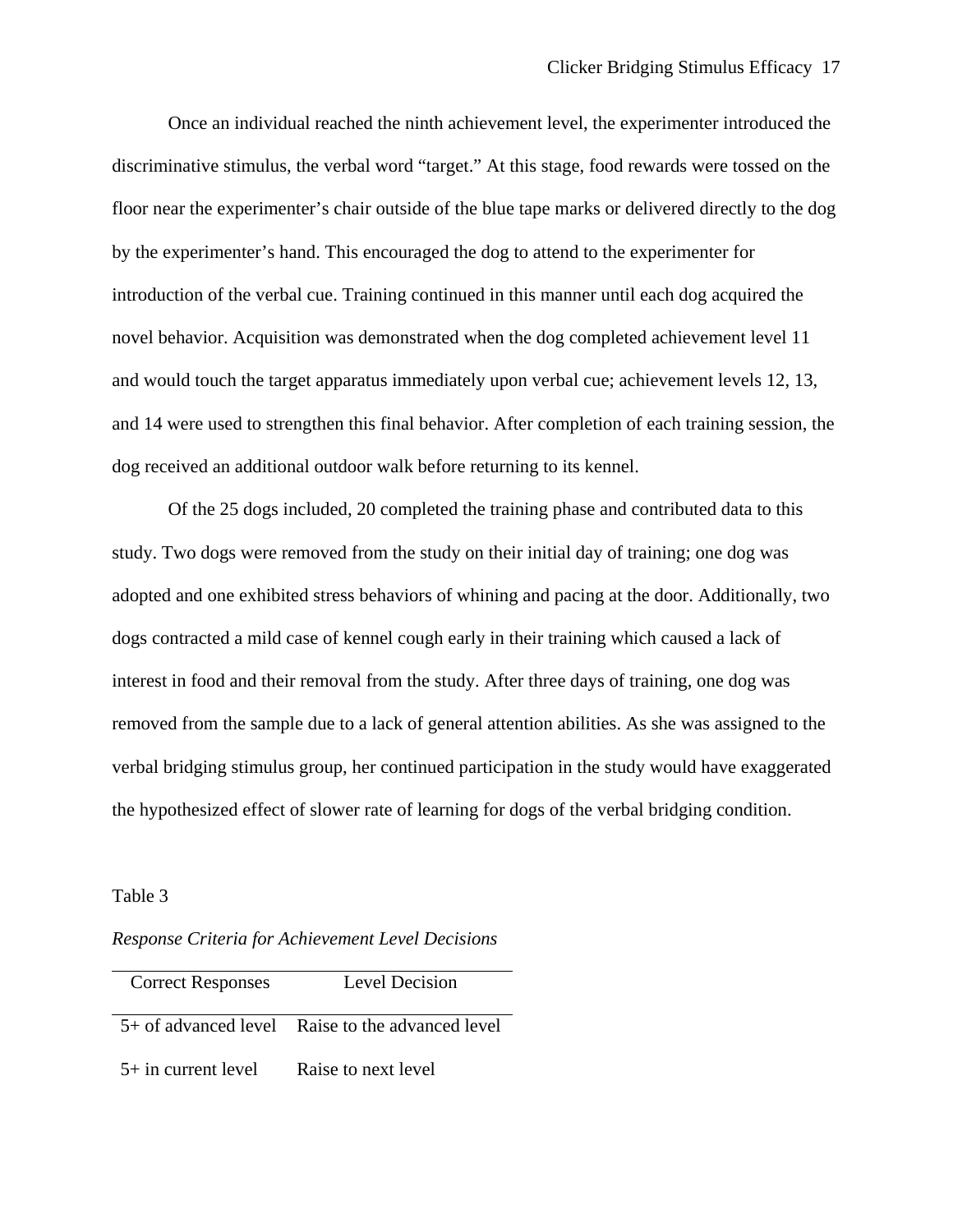Once an individual reached the ninth achievement level, the experimenter introduced the discriminative stimulus, the verbal word "target." At this stage, food rewards were tossed on the floor near the experimenter's chair outside of the blue tape marks or delivered directly to the dog by the experimenter's hand. This encouraged the dog to attend to the experimenter for introduction of the verbal cue. Training continued in this manner until each dog acquired the novel behavior. Acquisition was demonstrated when the dog completed achievement level 11 and would touch the target apparatus immediately upon verbal cue; achievement levels 12, 13, and 14 were used to strengthen this final behavior. After completion of each training session, the dog received an additional outdoor walk before returning to its kennel.

 Of the 25 dogs included, 20 completed the training phase and contributed data to this study. Two dogs were removed from the study on their initial day of training; one dog was adopted and one exhibited stress behaviors of whining and pacing at the door. Additionally, two dogs contracted a mild case of kennel cough early in their training which caused a lack of interest in food and their removal from the study. After three days of training, one dog was removed from the sample due to a lack of general attention abilities. As she was assigned to the verbal bridging stimulus group, her continued participation in the study would have exaggerated the hypothesized effect of slower rate of learning for dogs of the verbal bridging condition.

### Table 3

*Response Criteria for Achievement Level Decisions*

| <b>Correct Responses</b> | Level Decision                                     |
|--------------------------|----------------------------------------------------|
|                          | $5+$ of advanced level Raise to the advanced level |
| $5+$ in current level    | Raise to next level                                |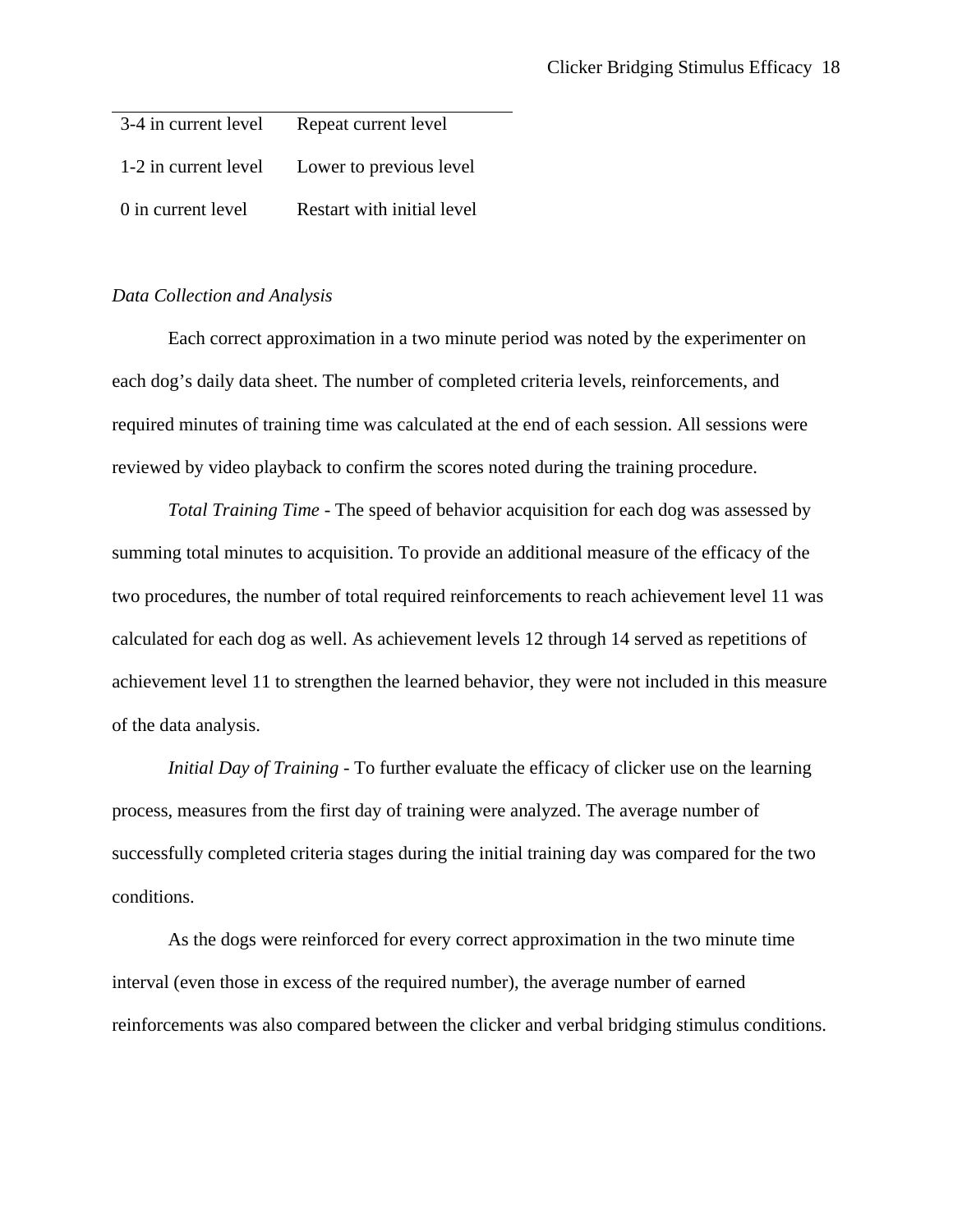| 3-4 in current level | Repeat current level       |
|----------------------|----------------------------|
| 1-2 in current level | Lower to previous level    |
| 0 in current level   | Restart with initial level |

## *Data Collection and Analysis*

 Each correct approximation in a two minute period was noted by the experimenter on each dog's daily data sheet. The number of completed criteria levels, reinforcements, and required minutes of training time was calculated at the end of each session. All sessions were reviewed by video playback to confirm the scores noted during the training procedure.

 *Total Training Time -* The speed of behavior acquisition for each dog was assessed by summing total minutes to acquisition. To provide an additional measure of the efficacy of the two procedures, the number of total required reinforcements to reach achievement level 11 was calculated for each dog as well. As achievement levels 12 through 14 served as repetitions of achievement level 11 to strengthen the learned behavior, they were not included in this measure of the data analysis.

*Initial Day of Training -* To further evaluate the efficacy of clicker use on the learning process, measures from the first day of training were analyzed. The average number of successfully completed criteria stages during the initial training day was compared for the two conditions.

 As the dogs were reinforced for every correct approximation in the two minute time interval (even those in excess of the required number), the average number of earned reinforcements was also compared between the clicker and verbal bridging stimulus conditions.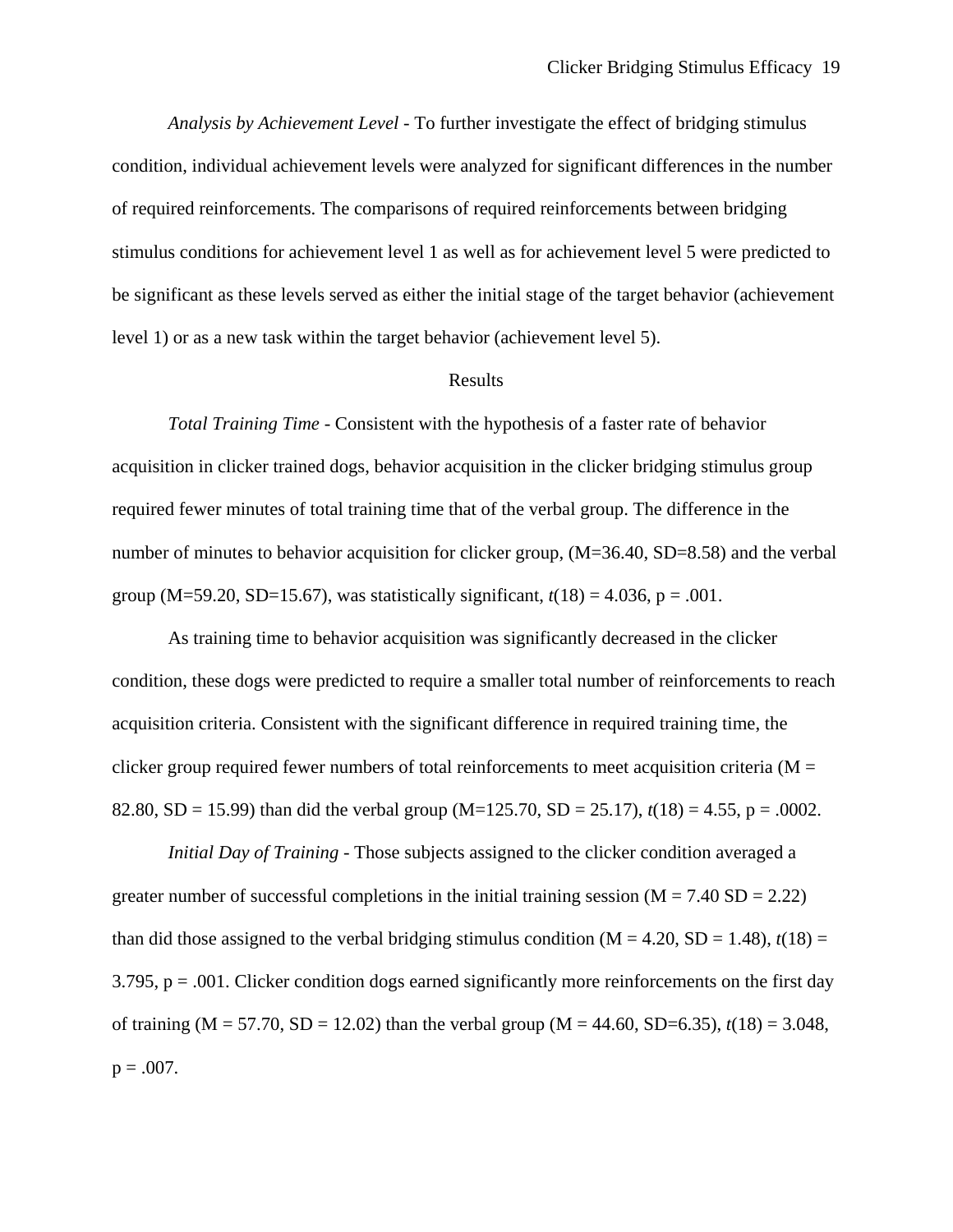*Analysis by Achievement Level -* To further investigate the effect of bridging stimulus condition, individual achievement levels were analyzed for significant differences in the number of required reinforcements. The comparisons of required reinforcements between bridging stimulus conditions for achievement level 1 as well as for achievement level 5 were predicted to be significant as these levels served as either the initial stage of the target behavior (achievement level 1) or as a new task within the target behavior (achievement level 5).

## Results

 *Total Training Time -* Consistent with the hypothesis of a faster rate of behavior acquisition in clicker trained dogs, behavior acquisition in the clicker bridging stimulus group required fewer minutes of total training time that of the verbal group. The difference in the number of minutes to behavior acquisition for clicker group,  $(M=36.40, SD=8.58)$  and the verbal group (M=59.20, SD=15.67), was statistically significant,  $t(18) = 4.036$ , p = .001.

 As training time to behavior acquisition was significantly decreased in the clicker condition, these dogs were predicted to require a smaller total number of reinforcements to reach acquisition criteria. Consistent with the significant difference in required training time, the clicker group required fewer numbers of total reinforcements to meet acquisition criteria ( $M =$ 82.80, SD = 15.99) than did the verbal group (M=125.70, SD = 25.17), *t*(18) = 4.55, p = .0002.

 *Initial Day of Training -* Those subjects assigned to the clicker condition averaged a greater number of successful completions in the initial training session  $(M = 7.40 \text{ SD} = 2.22)$ than did those assigned to the verbal bridging stimulus condition  $(M = 4.20, SD = 1.48)$ ,  $t(18) =$  $3.795$ ,  $p = .001$ . Clicker condition dogs earned significantly more reinforcements on the first day of training (M = 57.70, SD = 12.02) than the verbal group (M = 44.60, SD=6.35),  $t(18) = 3.048$ ,  $p = .007$ .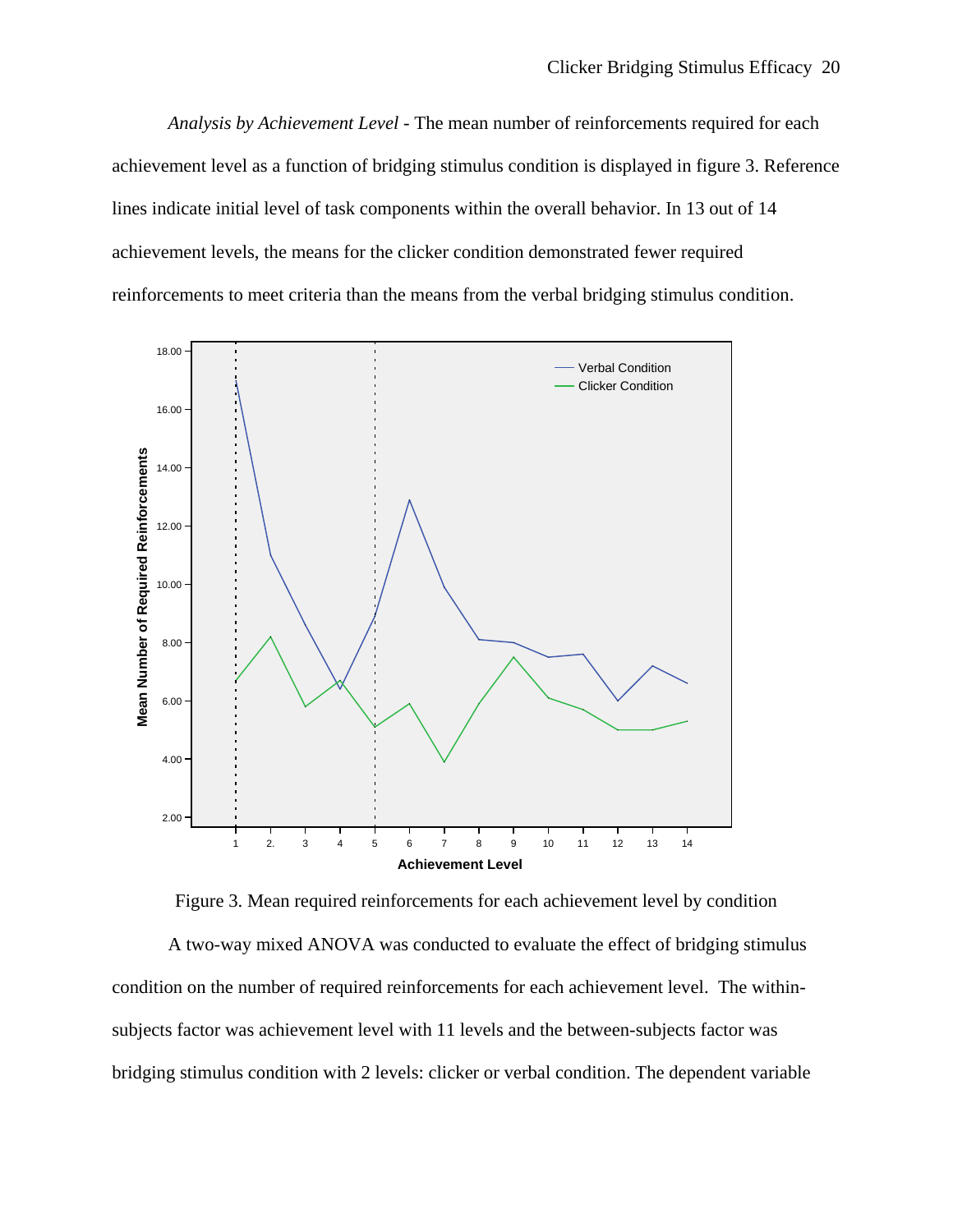*Analysis by Achievement Level -* The mean number of reinforcements required for each achievement level as a function of bridging stimulus condition is displayed in figure 3. Reference lines indicate initial level of task components within the overall behavior. In 13 out of 14 achievement levels, the means for the clicker condition demonstrated fewer required reinforcements to meet criteria than the means from the verbal bridging stimulus condition.



Figure 3. Mean required reinforcements for each achievement level by condition

 A two-way mixed ANOVA was conducted to evaluate the effect of bridging stimulus condition on the number of required reinforcements for each achievement level. The withinsubjects factor was achievement level with 11 levels and the between-subjects factor was bridging stimulus condition with 2 levels: clicker or verbal condition. The dependent variable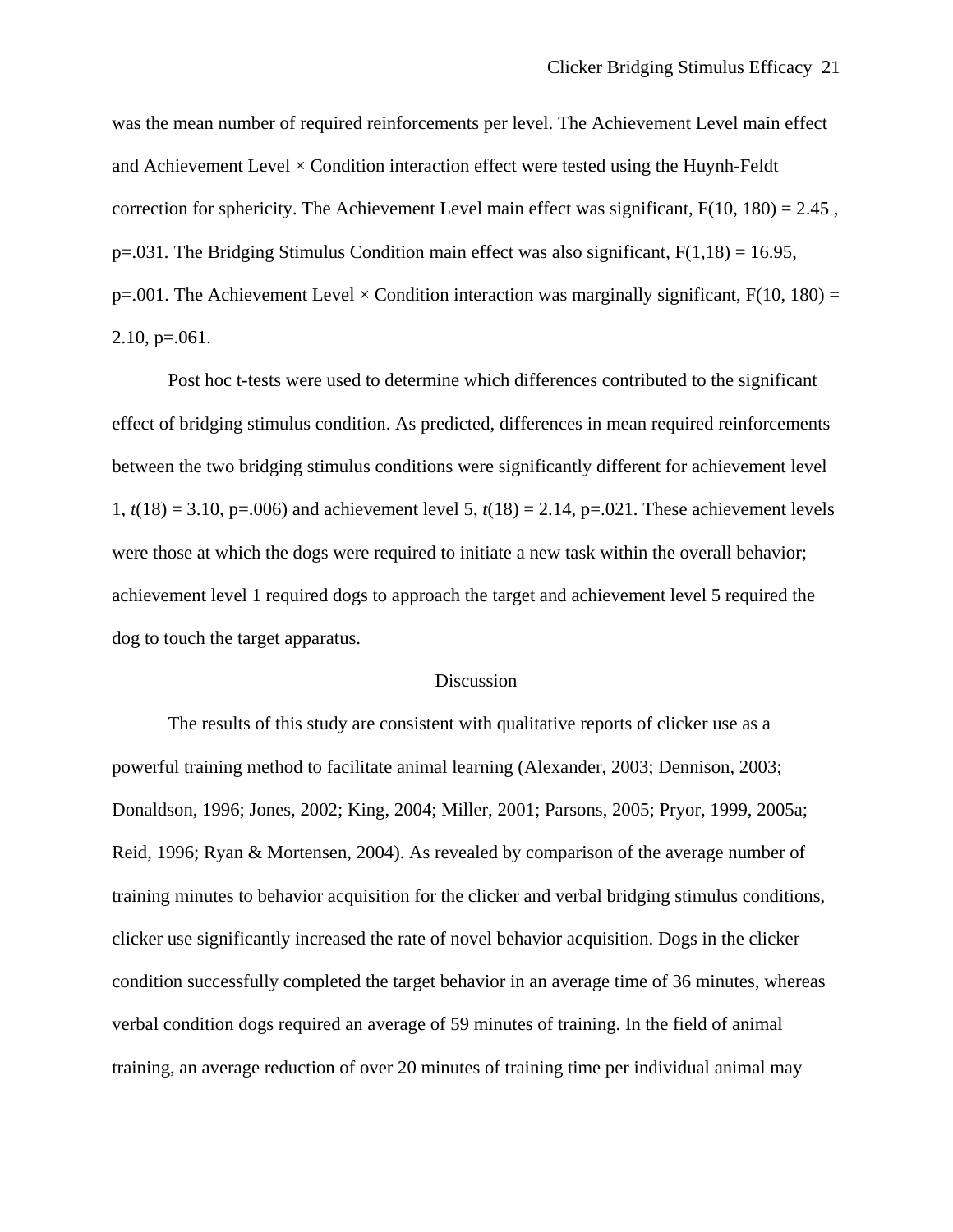was the mean number of required reinforcements per level. The Achievement Level main effect and Achievement Level  $\times$  Condition interaction effect were tested using the Huynh-Feldt correction for sphericity. The Achievement Level main effect was significant,  $F(10, 180) = 2.45$ , p=.031*.* The Bridging Stimulus Condition main effect was also significant, F(1,18) = 16.95,  $p=0.001$ . The Achievement Level  $\times$  Condition interaction was marginally significant, F(10, 180) =  $2.10, p=.061$ .

Post hoc t-tests were used to determine which differences contributed to the significant effect of bridging stimulus condition. As predicted, differences in mean required reinforcements between the two bridging stimulus conditions were significantly different for achievement level 1,  $t(18) = 3.10$ , p=.006) and achievement level 5,  $t(18) = 2.14$ , p=.021. These achievement levels were those at which the dogs were required to initiate a new task within the overall behavior; achievement level 1 required dogs to approach the target and achievement level 5 required the dog to touch the target apparatus.

## Discussion

 The results of this study are consistent with qualitative reports of clicker use as a powerful training method to facilitate animal learning (Alexander, 2003; Dennison, 2003; Donaldson, 1996; Jones, 2002; King, 2004; Miller, 2001; Parsons, 2005; Pryor, 1999, 2005a; Reid, 1996; Ryan & Mortensen, 2004). As revealed by comparison of the average number of training minutes to behavior acquisition for the clicker and verbal bridging stimulus conditions, clicker use significantly increased the rate of novel behavior acquisition. Dogs in the clicker condition successfully completed the target behavior in an average time of 36 minutes, whereas verbal condition dogs required an average of 59 minutes of training. In the field of animal training, an average reduction of over 20 minutes of training time per individual animal may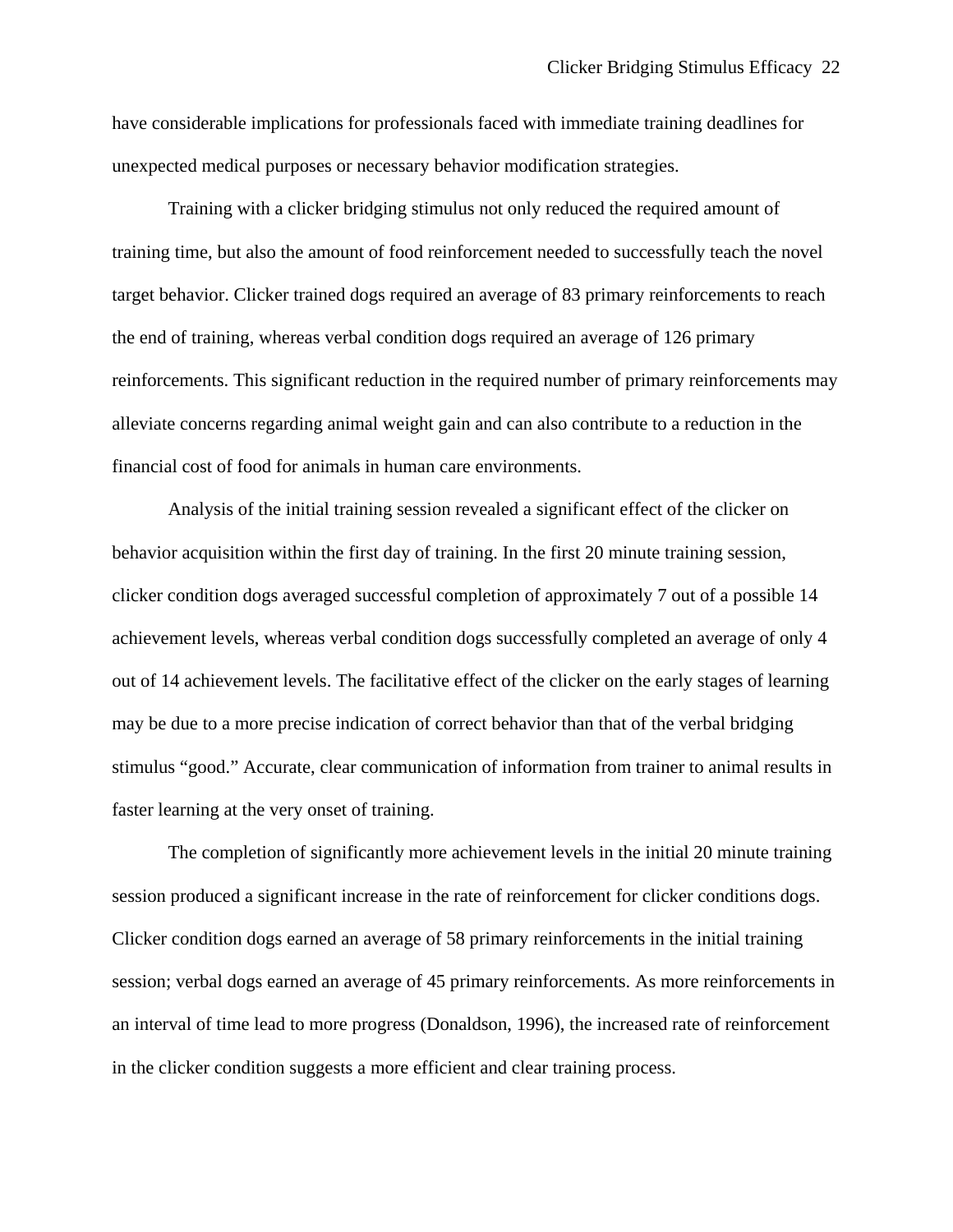have considerable implications for professionals faced with immediate training deadlines for unexpected medical purposes or necessary behavior modification strategies.

 Training with a clicker bridging stimulus not only reduced the required amount of training time, but also the amount of food reinforcement needed to successfully teach the novel target behavior. Clicker trained dogs required an average of 83 primary reinforcements to reach the end of training, whereas verbal condition dogs required an average of 126 primary reinforcements. This significant reduction in the required number of primary reinforcements may alleviate concerns regarding animal weight gain and can also contribute to a reduction in the financial cost of food for animals in human care environments.

 Analysis of the initial training session revealed a significant effect of the clicker on behavior acquisition within the first day of training. In the first 20 minute training session, clicker condition dogs averaged successful completion of approximately 7 out of a possible 14 achievement levels, whereas verbal condition dogs successfully completed an average of only 4 out of 14 achievement levels. The facilitative effect of the clicker on the early stages of learning may be due to a more precise indication of correct behavior than that of the verbal bridging stimulus "good." Accurate, clear communication of information from trainer to animal results in faster learning at the very onset of training.

 The completion of significantly more achievement levels in the initial 20 minute training session produced a significant increase in the rate of reinforcement for clicker conditions dogs. Clicker condition dogs earned an average of 58 primary reinforcements in the initial training session; verbal dogs earned an average of 45 primary reinforcements. As more reinforcements in an interval of time lead to more progress (Donaldson, 1996), the increased rate of reinforcement in the clicker condition suggests a more efficient and clear training process.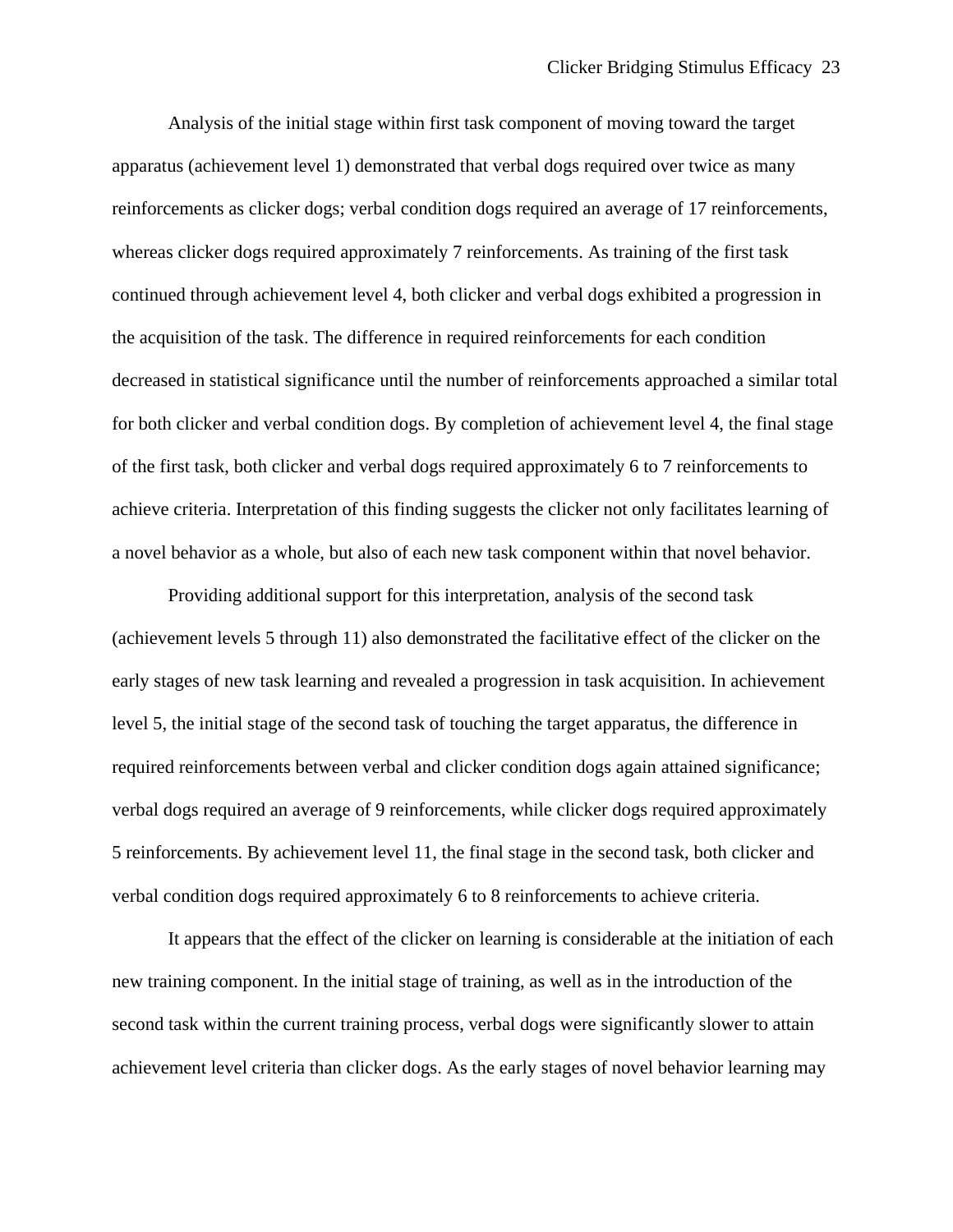Analysis of the initial stage within first task component of moving toward the target apparatus (achievement level 1) demonstrated that verbal dogs required over twice as many reinforcements as clicker dogs; verbal condition dogs required an average of 17 reinforcements, whereas clicker dogs required approximately 7 reinforcements. As training of the first task continued through achievement level 4, both clicker and verbal dogs exhibited a progression in the acquisition of the task. The difference in required reinforcements for each condition decreased in statistical significance until the number of reinforcements approached a similar total for both clicker and verbal condition dogs. By completion of achievement level 4, the final stage of the first task, both clicker and verbal dogs required approximately 6 to 7 reinforcements to achieve criteria. Interpretation of this finding suggests the clicker not only facilitates learning of a novel behavior as a whole, but also of each new task component within that novel behavior.

 Providing additional support for this interpretation, analysis of the second task (achievement levels 5 through 11) also demonstrated the facilitative effect of the clicker on the early stages of new task learning and revealed a progression in task acquisition. In achievement level 5, the initial stage of the second task of touching the target apparatus, the difference in required reinforcements between verbal and clicker condition dogs again attained significance; verbal dogs required an average of 9 reinforcements, while clicker dogs required approximately 5 reinforcements. By achievement level 11, the final stage in the second task, both clicker and verbal condition dogs required approximately 6 to 8 reinforcements to achieve criteria.

 It appears that the effect of the clicker on learning is considerable at the initiation of each new training component. In the initial stage of training, as well as in the introduction of the second task within the current training process, verbal dogs were significantly slower to attain achievement level criteria than clicker dogs. As the early stages of novel behavior learning may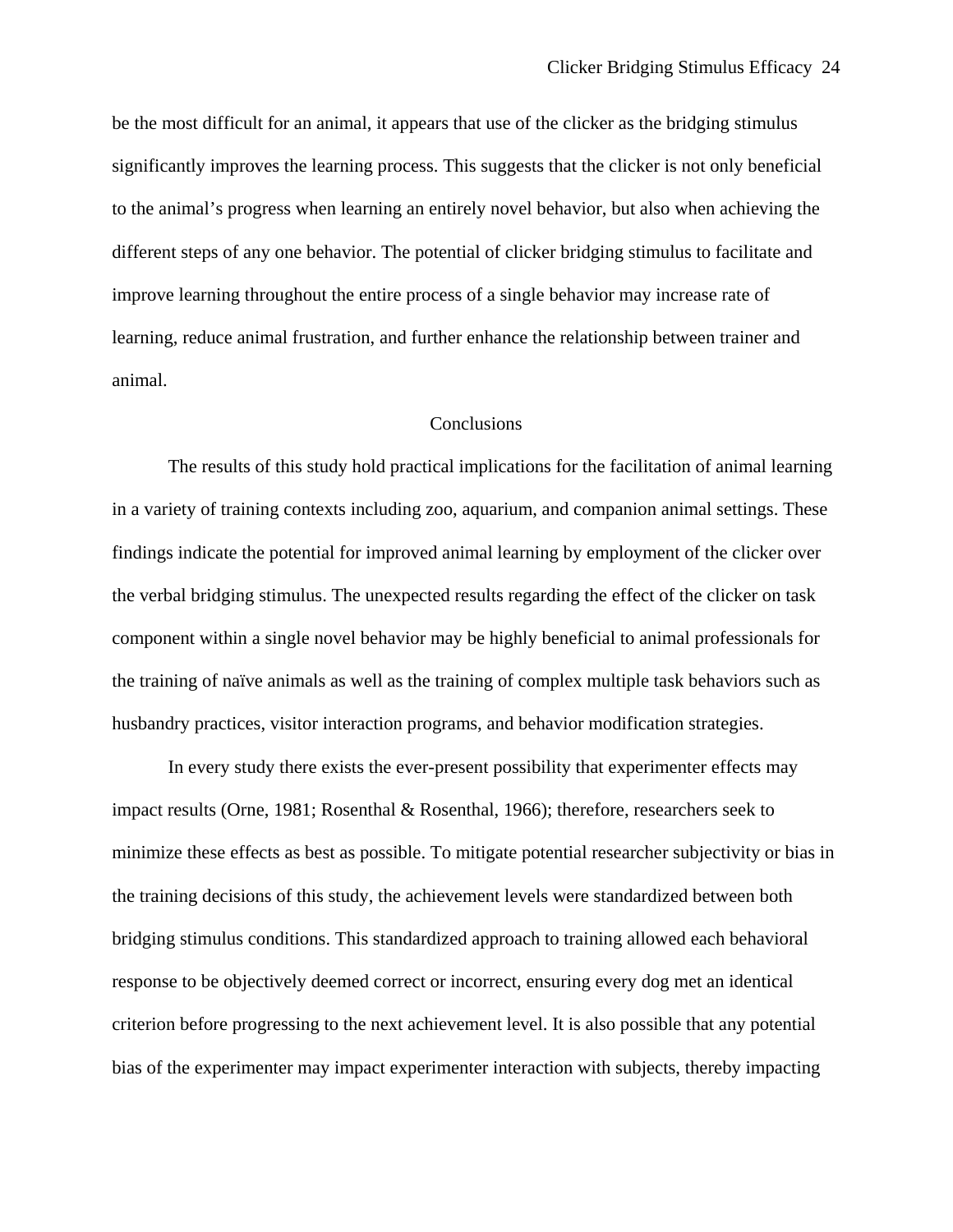be the most difficult for an animal, it appears that use of the clicker as the bridging stimulus significantly improves the learning process. This suggests that the clicker is not only beneficial to the animal's progress when learning an entirely novel behavior, but also when achieving the different steps of any one behavior. The potential of clicker bridging stimulus to facilitate and improve learning throughout the entire process of a single behavior may increase rate of learning, reduce animal frustration, and further enhance the relationship between trainer and animal.

## **Conclusions**

 The results of this study hold practical implications for the facilitation of animal learning in a variety of training contexts including zoo, aquarium, and companion animal settings. These findings indicate the potential for improved animal learning by employment of the clicker over the verbal bridging stimulus. The unexpected results regarding the effect of the clicker on task component within a single novel behavior may be highly beneficial to animal professionals for the training of naïve animals as well as the training of complex multiple task behaviors such as husbandry practices, visitor interaction programs, and behavior modification strategies.

 In every study there exists the ever-present possibility that experimenter effects may impact results (Orne, 1981; Rosenthal & Rosenthal, 1966); therefore, researchers seek to minimize these effects as best as possible. To mitigate potential researcher subjectivity or bias in the training decisions of this study, the achievement levels were standardized between both bridging stimulus conditions. This standardized approach to training allowed each behavioral response to be objectively deemed correct or incorrect, ensuring every dog met an identical criterion before progressing to the next achievement level. It is also possible that any potential bias of the experimenter may impact experimenter interaction with subjects, thereby impacting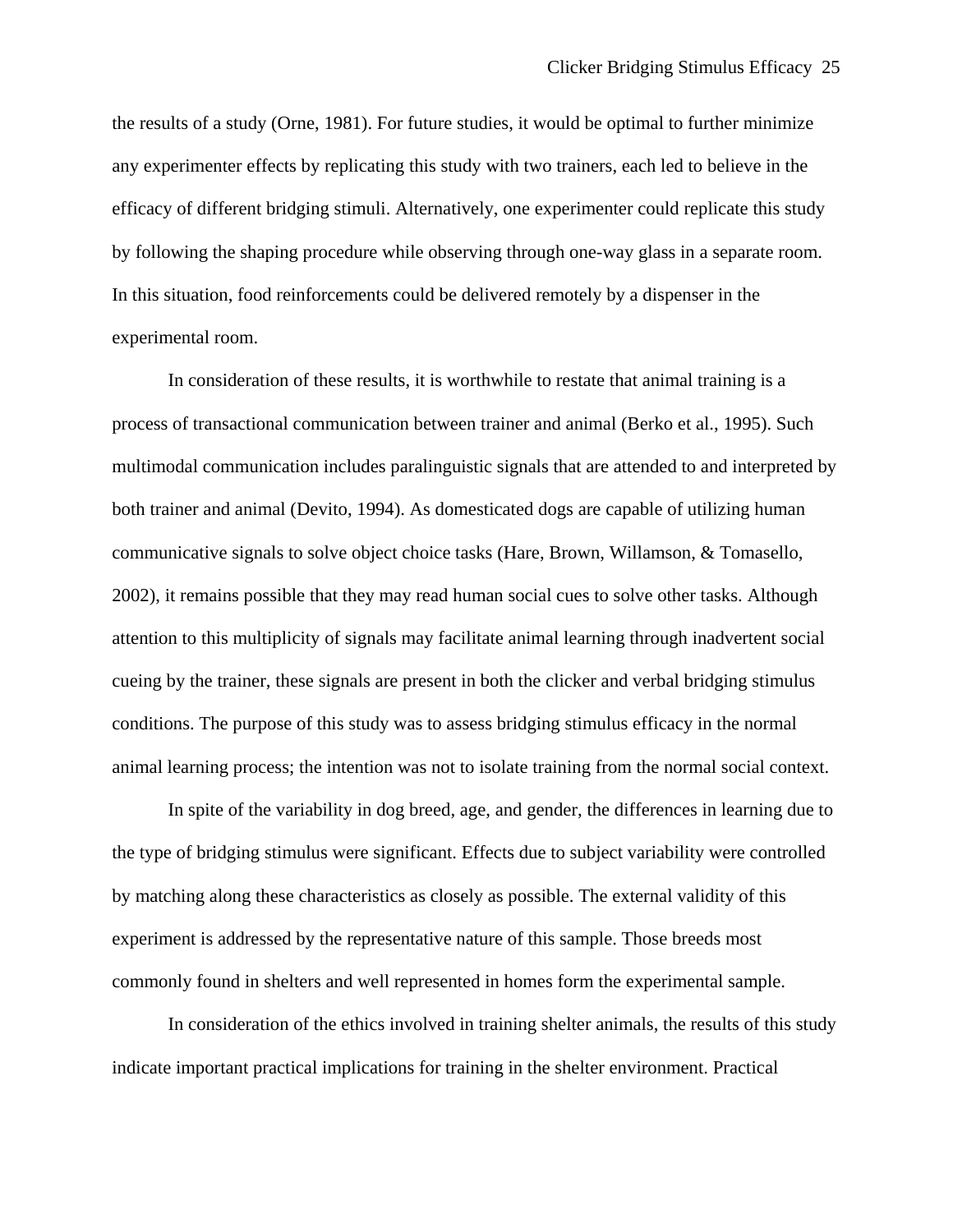the results of a study (Orne, 1981). For future studies, it would be optimal to further minimize any experimenter effects by replicating this study with two trainers, each led to believe in the efficacy of different bridging stimuli. Alternatively, one experimenter could replicate this study by following the shaping procedure while observing through one-way glass in a separate room. In this situation, food reinforcements could be delivered remotely by a dispenser in the experimental room.

 In consideration of these results, it is worthwhile to restate that animal training is a process of transactional communication between trainer and animal (Berko et al., 1995). Such multimodal communication includes paralinguistic signals that are attended to and interpreted by both trainer and animal (Devito, 1994). As domesticated dogs are capable of utilizing human communicative signals to solve object choice tasks (Hare, Brown, Willamson, & Tomasello, 2002), it remains possible that they may read human social cues to solve other tasks. Although attention to this multiplicity of signals may facilitate animal learning through inadvertent social cueing by the trainer, these signals are present in both the clicker and verbal bridging stimulus conditions. The purpose of this study was to assess bridging stimulus efficacy in the normal animal learning process; the intention was not to isolate training from the normal social context.

 In spite of the variability in dog breed, age, and gender, the differences in learning due to the type of bridging stimulus were significant. Effects due to subject variability were controlled by matching along these characteristics as closely as possible. The external validity of this experiment is addressed by the representative nature of this sample. Those breeds most commonly found in shelters and well represented in homes form the experimental sample.

 In consideration of the ethics involved in training shelter animals, the results of this study indicate important practical implications for training in the shelter environment. Practical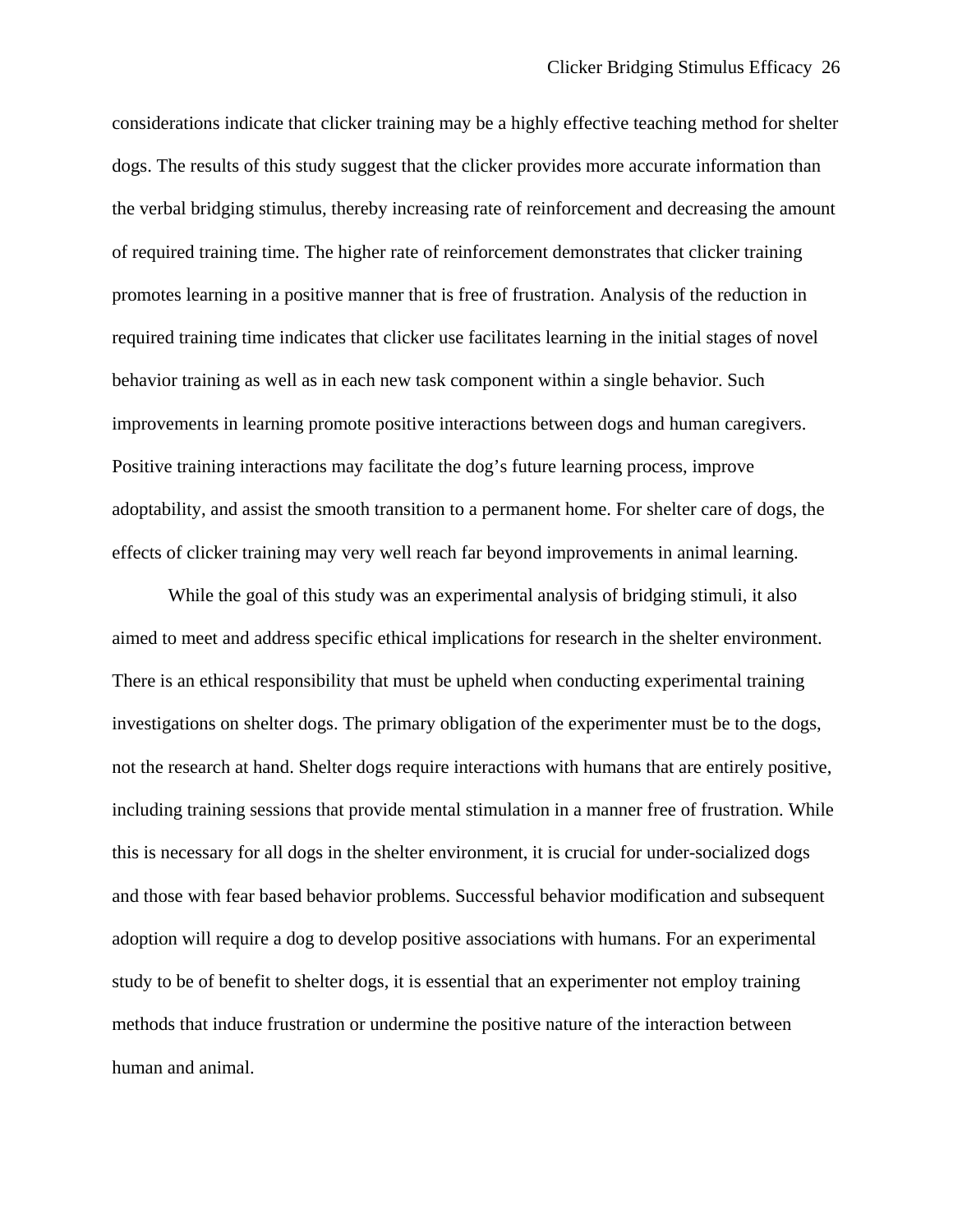considerations indicate that clicker training may be a highly effective teaching method for shelter dogs. The results of this study suggest that the clicker provides more accurate information than the verbal bridging stimulus, thereby increasing rate of reinforcement and decreasing the amount of required training time. The higher rate of reinforcement demonstrates that clicker training promotes learning in a positive manner that is free of frustration. Analysis of the reduction in required training time indicates that clicker use facilitates learning in the initial stages of novel behavior training as well as in each new task component within a single behavior. Such improvements in learning promote positive interactions between dogs and human caregivers. Positive training interactions may facilitate the dog's future learning process, improve adoptability, and assist the smooth transition to a permanent home. For shelter care of dogs, the effects of clicker training may very well reach far beyond improvements in animal learning.

While the goal of this study was an experimental analysis of bridging stimuli, it also aimed to meet and address specific ethical implications for research in the shelter environment. There is an ethical responsibility that must be upheld when conducting experimental training investigations on shelter dogs. The primary obligation of the experimenter must be to the dogs, not the research at hand. Shelter dogs require interactions with humans that are entirely positive, including training sessions that provide mental stimulation in a manner free of frustration. While this is necessary for all dogs in the shelter environment, it is crucial for under-socialized dogs and those with fear based behavior problems. Successful behavior modification and subsequent adoption will require a dog to develop positive associations with humans. For an experimental study to be of benefit to shelter dogs, it is essential that an experimenter not employ training methods that induce frustration or undermine the positive nature of the interaction between human and animal.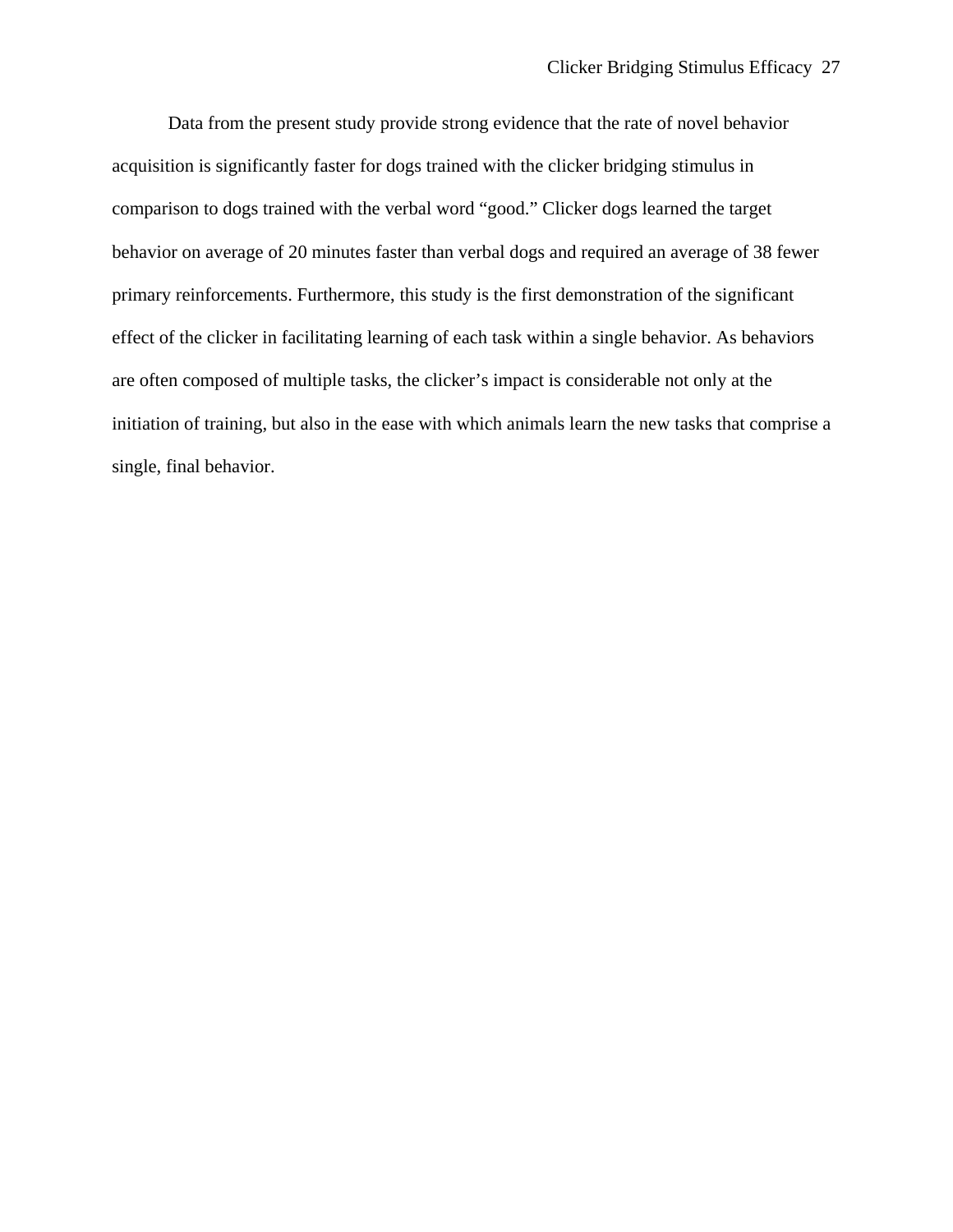Data from the present study provide strong evidence that the rate of novel behavior acquisition is significantly faster for dogs trained with the clicker bridging stimulus in comparison to dogs trained with the verbal word "good." Clicker dogs learned the target behavior on average of 20 minutes faster than verbal dogs and required an average of 38 fewer primary reinforcements. Furthermore, this study is the first demonstration of the significant effect of the clicker in facilitating learning of each task within a single behavior. As behaviors are often composed of multiple tasks, the clicker's impact is considerable not only at the initiation of training, but also in the ease with which animals learn the new tasks that comprise a single, final behavior.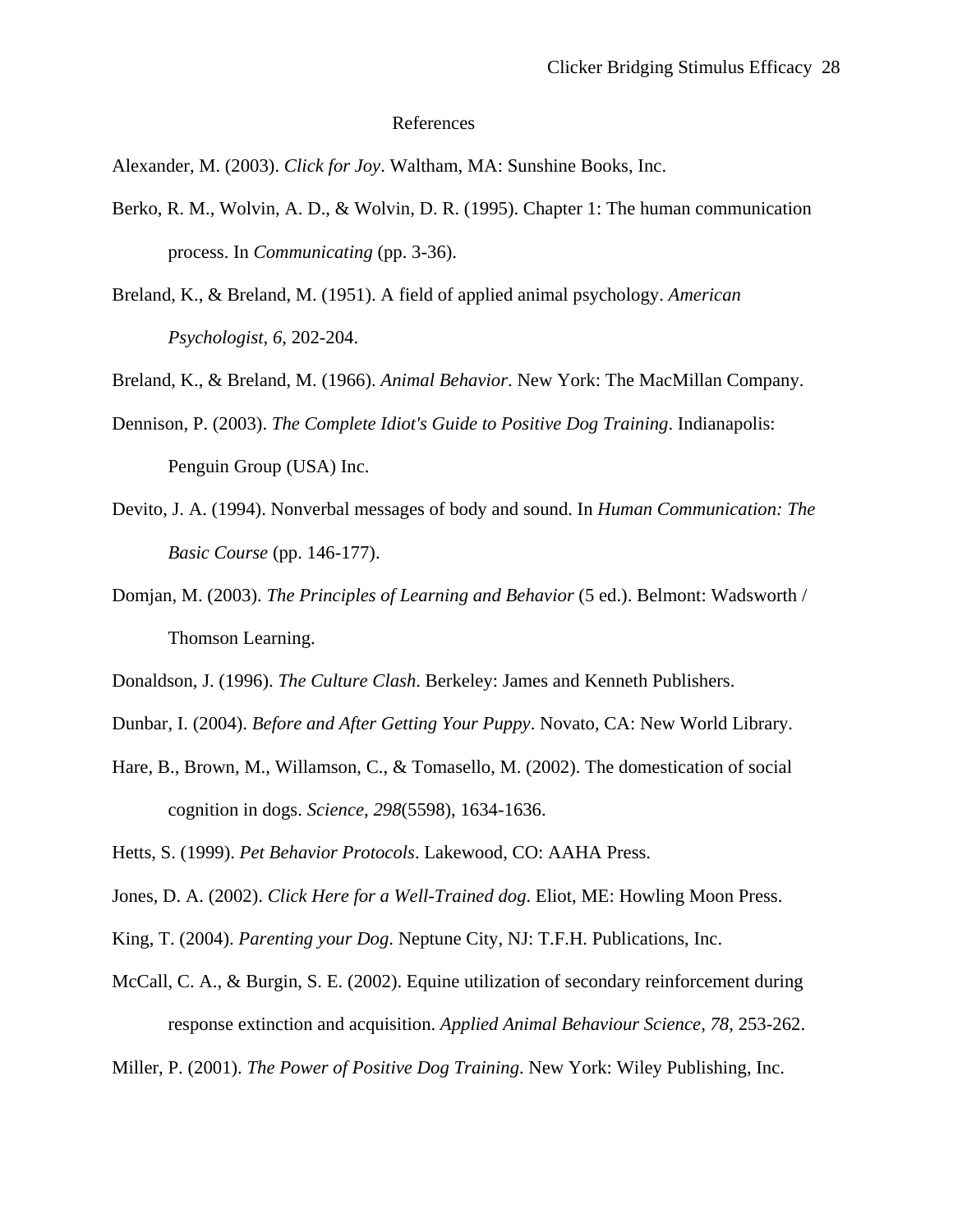## References

Alexander, M. (2003). *Click for Joy*. Waltham, MA: Sunshine Books, Inc.

- Berko, R. M., Wolvin, A. D., & Wolvin, D. R. (1995). Chapter 1: The human communication process. In *Communicating* (pp. 3-36).
- Breland, K., & Breland, M. (1951). A field of applied animal psychology. *American Psychologist, 6*, 202-204.

Breland, K., & Breland, M. (1966). *Animal Behavior*. New York: The MacMillan Company.

- Dennison, P. (2003). *The Complete Idiot's Guide to Positive Dog Training*. Indianapolis: Penguin Group (USA) Inc.
- Devito, J. A. (1994). Nonverbal messages of body and sound. In *Human Communication: The Basic Course* (pp. 146-177).
- Domjan, M. (2003). *The Principles of Learning and Behavior* (5 ed.). Belmont: Wadsworth / Thomson Learning.
- Donaldson, J. (1996). *The Culture Clash*. Berkeley: James and Kenneth Publishers.
- Dunbar, I. (2004). *Before and After Getting Your Puppy*. Novato, CA: New World Library.
- Hare, B., Brown, M., Willamson, C., & Tomasello, M. (2002). The domestication of social cognition in dogs. *Science, 298*(5598), 1634-1636.

Hetts, S. (1999). *Pet Behavior Protocols*. Lakewood, CO: AAHA Press.

Jones, D. A. (2002). *Click Here for a Well-Trained dog*. Eliot, ME: Howling Moon Press.

- King, T. (2004). *Parenting your Dog*. Neptune City, NJ: T.F.H. Publications, Inc.
- McCall, C. A., & Burgin, S. E. (2002). Equine utilization of secondary reinforcement during response extinction and acquisition. *Applied Animal Behaviour Science, 78*, 253-262.

Miller, P. (2001). *The Power of Positive Dog Training*. New York: Wiley Publishing, Inc.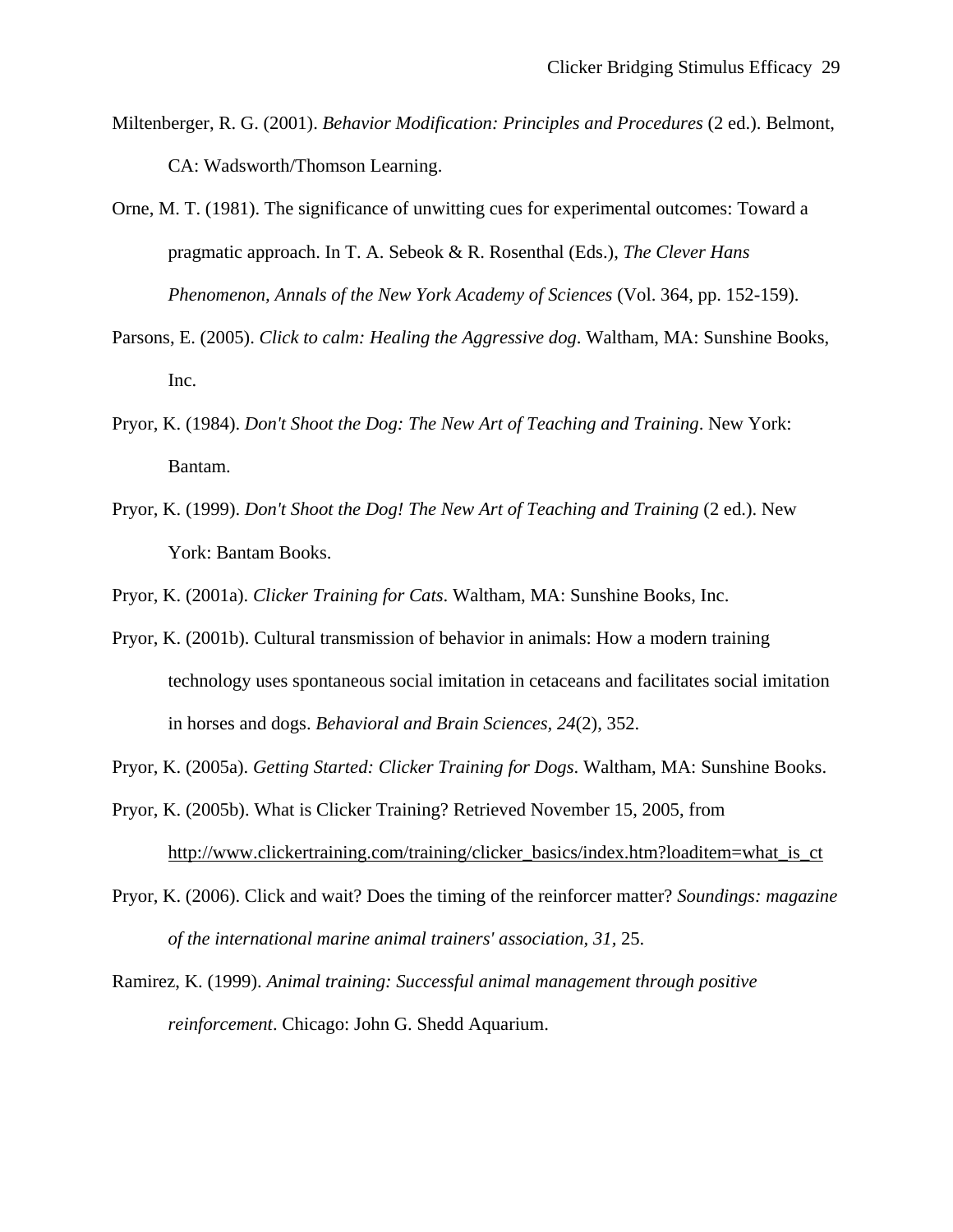Miltenberger, R. G. (2001). *Behavior Modification: Principles and Procedures* (2 ed.). Belmont, CA: Wadsworth/Thomson Learning.

Orne, M. T. (1981). The significance of unwitting cues for experimental outcomes: Toward a pragmatic approach. In T. A. Sebeok & R. Rosenthal (Eds.), *The Clever Hans Phenomenon, Annals of the New York Academy of Sciences* (Vol. 364, pp. 152-159).

- Parsons, E. (2005). *Click to calm: Healing the Aggressive dog*. Waltham, MA: Sunshine Books, Inc.
- Pryor, K. (1984). *Don't Shoot the Dog: The New Art of Teaching and Training*. New York: Bantam.
- Pryor, K. (1999). *Don't Shoot the Dog! The New Art of Teaching and Training* (2 ed.). New York: Bantam Books.

Pryor, K. (2001a). *Clicker Training for Cats*. Waltham, MA: Sunshine Books, Inc.

Pryor, K. (2001b). Cultural transmission of behavior in animals: How a modern training technology uses spontaneous social imitation in cetaceans and facilitates social imitation in horses and dogs. *Behavioral and Brain Sciences, 24*(2), 352.

Pryor, K. (2005a). *Getting Started: Clicker Training for Dogs*. Waltham, MA: Sunshine Books.

- Pryor, K. (2005b). What is Clicker Training? Retrieved November 15, 2005, from http://www.clickertraining.com/training/clicker\_basics/index.htm?loaditem=what\_is\_ct
- Pryor, K. (2006). Click and wait? Does the timing of the reinforcer matter? *Soundings: magazine of the international marine animal trainers' association, 31,* 25.
- Ramirez, K. (1999). *Animal training: Successful animal management through positive reinforcement*. Chicago: John G. Shedd Aquarium.